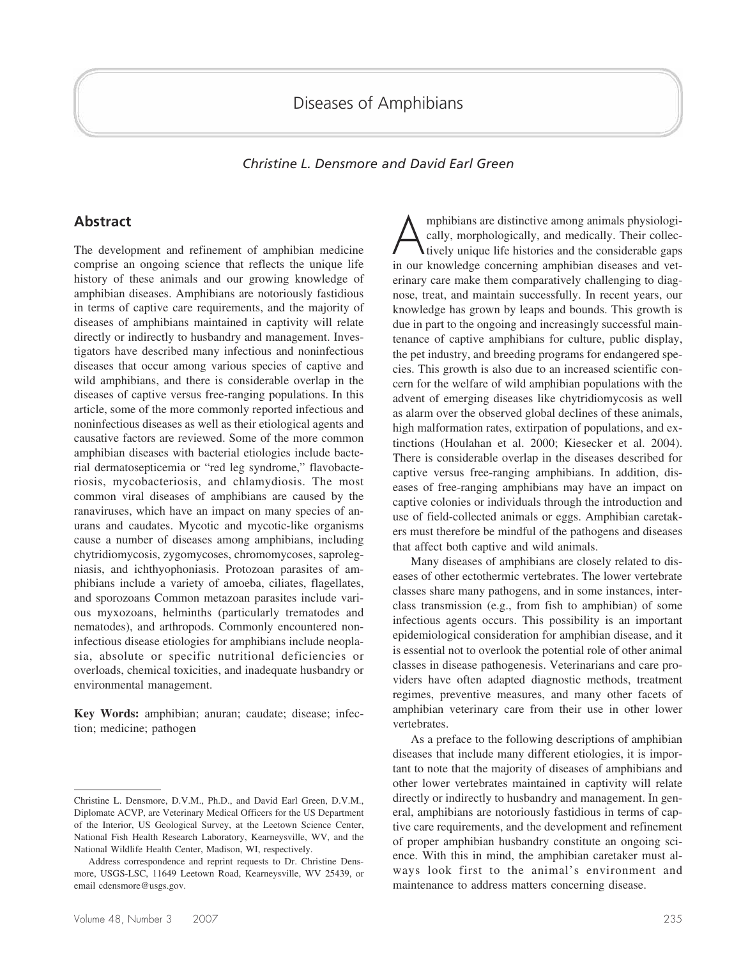*Christine L. Densmore and David Earl Green*

### **Abstract**

The development and refinement of amphibian medicine comprise an ongoing science that reflects the unique life history of these animals and our growing knowledge of amphibian diseases. Amphibians are notoriously fastidious in terms of captive care requirements, and the majority of diseases of amphibians maintained in captivity will relate directly or indirectly to husbandry and management. Investigators have described many infectious and noninfectious diseases that occur among various species of captive and wild amphibians, and there is considerable overlap in the diseases of captive versus free-ranging populations. In this article, some of the more commonly reported infectious and noninfectious diseases as well as their etiological agents and causative factors are reviewed. Some of the more common amphibian diseases with bacterial etiologies include bacterial dermatosepticemia or "red leg syndrome," flavobacteriosis, mycobacteriosis, and chlamydiosis. The most common viral diseases of amphibians are caused by the ranaviruses, which have an impact on many species of anurans and caudates. Mycotic and mycotic-like organisms cause a number of diseases among amphibians, including chytridiomycosis, zygomycoses, chromomycoses, saprolegniasis, and ichthyophoniasis. Protozoan parasites of amphibians include a variety of amoeba, ciliates, flagellates, and sporozoans Common metazoan parasites include various myxozoans, helminths (particularly trematodes and nematodes), and arthropods. Commonly encountered noninfectious disease etiologies for amphibians include neoplasia, absolute or specific nutritional deficiencies or overloads, chemical toxicities, and inadequate husbandry or environmental management.

**Key Words:** amphibian; anuran; caudate; disease; infection; medicine; pathogen

mphibians are distinctive among animals physiologi-<br>cally, morphologically, and medically. Their collec-<br>tively unique life histories and the considerable gaps<br>in our knowledge concerning amphibian diseases and yet cally, morphologically, and medically. Their collecin our knowledge concerning amphibian diseases and veterinary care make them comparatively challenging to diagnose, treat, and maintain successfully. In recent years, our knowledge has grown by leaps and bounds. This growth is due in part to the ongoing and increasingly successful maintenance of captive amphibians for culture, public display, the pet industry, and breeding programs for endangered species. This growth is also due to an increased scientific concern for the welfare of wild amphibian populations with the advent of emerging diseases like chytridiomycosis as well as alarm over the observed global declines of these animals, high malformation rates, extirpation of populations, and extinctions (Houlahan et al. 2000; Kiesecker et al. 2004). There is considerable overlap in the diseases described for captive versus free-ranging amphibians. In addition, diseases of free-ranging amphibians may have an impact on captive colonies or individuals through the introduction and use of field-collected animals or eggs. Amphibian caretakers must therefore be mindful of the pathogens and diseases that affect both captive and wild animals.

Many diseases of amphibians are closely related to diseases of other ectothermic vertebrates. The lower vertebrate classes share many pathogens, and in some instances, interclass transmission (e.g., from fish to amphibian) of some infectious agents occurs. This possibility is an important epidemiological consideration for amphibian disease, and it is essential not to overlook the potential role of other animal classes in disease pathogenesis. Veterinarians and care providers have often adapted diagnostic methods, treatment regimes, preventive measures, and many other facets of amphibian veterinary care from their use in other lower vertebrates.

As a preface to the following descriptions of amphibian diseases that include many different etiologies, it is important to note that the majority of diseases of amphibians and other lower vertebrates maintained in captivity will relate directly or indirectly to husbandry and management. In general, amphibians are notoriously fastidious in terms of captive care requirements, and the development and refinement of proper amphibian husbandry constitute an ongoing science. With this in mind, the amphibian caretaker must always look first to the animal's environment and maintenance to address matters concerning disease.

Christine L. Densmore, D.V.M., Ph.D., and David Earl Green, D.V.M., Diplomate ACVP, are Veterinary Medical Officers for the US Department of the Interior, US Geological Survey, at the Leetown Science Center, National Fish Health Research Laboratory, Kearneysville, WV, and the National Wildlife Health Center, Madison, WI, respectively.

Address correspondence and reprint requests to Dr. Christine Densmore, USGS-LSC, 11649 Leetown Road, Kearneysville, WV 25439, or email cdensmore@usgs.gov.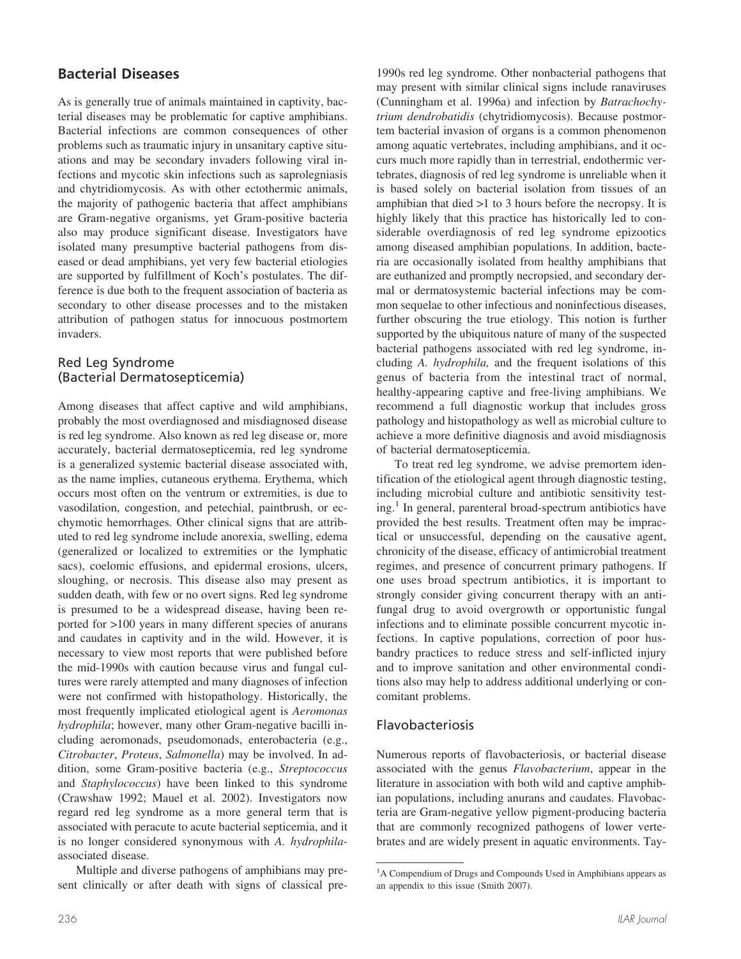# **Bacterial Diseases**

As is generally true of animals maintained in captivity, bacterial diseases may be problematic for captive amphibians. Bacterial infections are common consequences of other problems such as traumatic injury in unsanitary captive situations and may be secondary invaders following viral infections and mycotic skin infections such as saprolegniasis and chytridiomycosis. As with other ectothermic animals, the majority of pathogenic bacteria that affect amphibians are Gram-negative organisms, yet Gram-positive bacteria also may produce significant disease. Investigators have isolated many presumptive bacterial pathogens from diseased or dead amphibians, yet very few bacterial etiologies are supported by fulfillment of Koch's postulates. The difference is due both to the frequent association of bacteria as secondary to other disease processes and to the mistaken attribution of pathogen status for innocuous postmortem invaders.

### Red Leg Syndrome (Bacterial Dermatosepticemia)

Among diseases that affect captive and wild amphibians, probably the most overdiagnosed and misdiagnosed disease is red leg syndrome. Also known as red leg disease or, more accurately, bacterial dermatosepticemia, red leg syndrome is a generalized systemic bacterial disease associated with, as the name implies, cutaneous erythema. Erythema, which occurs most often on the ventrum or extremities, is due to vasodilation, congestion, and petechial, paintbrush, or ecchymotic hemorrhages. Other clinical signs that are attributed to red leg syndrome include anorexia, swelling, edema (generalized or localized to extremities or the lymphatic sacs), coelomic effusions, and epidermal erosions, ulcers, sloughing, or necrosis. This disease also may present as sudden death, with few or no overt signs. Red leg syndrome is presumed to be a widespread disease, having been reported for >100 years in many different species of anurans and caudates in captivity and in the wild. However, it is necessary to view most reports that were published before the mid-1990s with caution because virus and fungal cultures were rarely attempted and many diagnoses of infection were not confirmed with histopathology. Historically, the most frequently implicated etiological agent is *Aeromonas hydrophila*; however, many other Gram-negative bacilli including aeromonads, pseudomonads, enterobacteria (e.g., *Citrobacter*, *Proteus*, *Salmonella*) may be involved. In addition, some Gram-positive bacteria (e.g., *Streptococcus* and *Staphylococcus*) have been linked to this syndrome (Crawshaw 1992; Mauel et al. 2002). Investigators now regard red leg syndrome as a more general term that is associated with peracute to acute bacterial septicemia, and it is no longer considered synonymous with *A. hydrophila*associated disease.

Multiple and diverse pathogens of amphibians may present clinically or after death with signs of classical pre-

1990s red leg syndrome. Other nonbacterial pathogens that may present with similar clinical signs include ranaviruses (Cunningham et al. 1996a) and infection by *Batrachochytrium dendrobatidis* (chytridiomycosis). Because postmortem bacterial invasion of organs is a common phenomenon among aquatic vertebrates, including amphibians, and it occurs much more rapidly than in terrestrial, endothermic vertebrates, diagnosis of red leg syndrome is unreliable when it is based solely on bacterial isolation from tissues of an amphibian that died >1 to 3 hours before the necropsy. It is highly likely that this practice has historically led to considerable overdiagnosis of red leg syndrome epizootics among diseased amphibian populations. In addition, bacteria are occasionally isolated from healthy amphibians that are euthanized and promptly necropsied, and secondary dermal or dermatosystemic bacterial infections may be common sequelae to other infectious and noninfectious diseases, further obscuring the true etiology. This notion is further supported by the ubiquitous nature of many of the suspected bacterial pathogens associated with red leg syndrome, including *A. hydrophila,* and the frequent isolations of this genus of bacteria from the intestinal tract of normal, healthy-appearing captive and free-living amphibians. We recommend a full diagnostic workup that includes gross pathology and histopathology as well as microbial culture to achieve a more definitive diagnosis and avoid misdiagnosis of bacterial dermatosepticemia.

To treat red leg syndrome, we advise premortem identification of the etiological agent through diagnostic testing, including microbial culture and antibiotic sensitivity test $ing<sup>1</sup>$  In general, parenteral broad-spectrum antibiotics have provided the best results. Treatment often may be impractical or unsuccessful, depending on the causative agent, chronicity of the disease, efficacy of antimicrobial treatment regimes, and presence of concurrent primary pathogens. If one uses broad spectrum antibiotics, it is important to strongly consider giving concurrent therapy with an antifungal drug to avoid overgrowth or opportunistic fungal infections and to eliminate possible concurrent mycotic infections. In captive populations, correction of poor husbandry practices to reduce stress and self-inflicted injury and to improve sanitation and other environmental conditions also may help to address additional underlying or concomitant problems.

## Flavobacteriosis

Numerous reports of flavobacteriosis, or bacterial disease associated with the genus *Flavobacterium*, appear in the literature in association with both wild and captive amphibian populations, including anurans and caudates. Flavobacteria are Gram-negative yellow pigment-producing bacteria that are commonly recognized pathogens of lower vertebrates and are widely present in aquatic environments. Tay-

<sup>&</sup>lt;sup>1</sup>A Compendium of Drugs and Compounds Used in Amphibians appears as an appendix to this issue (Smith 2007).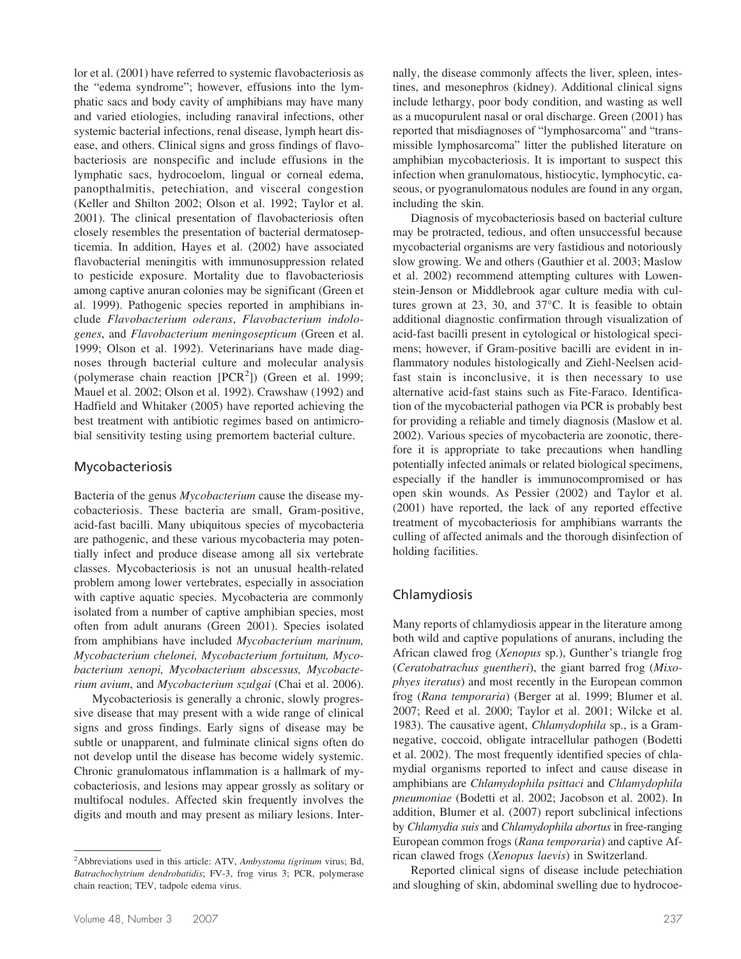lor et al. (2001) have referred to systemic flavobacteriosis as the "edema syndrome"; however, effusions into the lymphatic sacs and body cavity of amphibians may have many and varied etiologies, including ranaviral infections, other systemic bacterial infections, renal disease, lymph heart disease, and others. Clinical signs and gross findings of flavobacteriosis are nonspecific and include effusions in the lymphatic sacs, hydrocoelom, lingual or corneal edema, panopthalmitis, petechiation, and visceral congestion (Keller and Shilton 2002; Olson et al. 1992; Taylor et al. 2001). The clinical presentation of flavobacteriosis often closely resembles the presentation of bacterial dermatosepticemia. In addition, Hayes et al. (2002) have associated flavobacterial meningitis with immunosuppression related to pesticide exposure. Mortality due to flavobacteriosis among captive anuran colonies may be significant (Green et al. 1999). Pathogenic species reported in amphibians include *Flavobacterium oderans*, *Flavobacterium indologenes*, and *Flavobacterium meningosepticum* (Green et al. 1999; Olson et al. 1992). Veterinarians have made diagnoses through bacterial culture and molecular analysis (polymerase chain reaction [PCR<sup>2</sup>]) (Green et al. 1999; Mauel et al. 2002; Olson et al. 1992). Crawshaw (1992) and Hadfield and Whitaker (2005) have reported achieving the best treatment with antibiotic regimes based on antimicrobial sensitivity testing using premortem bacterial culture.

### Mycobacteriosis

Bacteria of the genus *Mycobacterium* cause the disease mycobacteriosis. These bacteria are small, Gram-positive, acid-fast bacilli. Many ubiquitous species of mycobacteria are pathogenic, and these various mycobacteria may potentially infect and produce disease among all six vertebrate classes. Mycobacteriosis is not an unusual health-related problem among lower vertebrates, especially in association with captive aquatic species. Mycobacteria are commonly isolated from a number of captive amphibian species, most often from adult anurans (Green 2001). Species isolated from amphibians have included *Mycobacterium marinum, Mycobacterium chelonei, Mycobacterium fortuitum, Mycobacterium xenopi, Mycobacterium abscessus, Mycobacterium avium*, and *Mycobacterium szulgai* (Chai et al. 2006).

Mycobacteriosis is generally a chronic, slowly progressive disease that may present with a wide range of clinical signs and gross findings. Early signs of disease may be subtle or unapparent, and fulminate clinical signs often do not develop until the disease has become widely systemic. Chronic granulomatous inflammation is a hallmark of mycobacteriosis, and lesions may appear grossly as solitary or multifocal nodules. Affected skin frequently involves the digits and mouth and may present as miliary lesions. Internally, the disease commonly affects the liver, spleen, intestines, and mesonephros (kidney). Additional clinical signs include lethargy, poor body condition, and wasting as well as a mucopurulent nasal or oral discharge. Green (2001) has reported that misdiagnoses of "lymphosarcoma" and "transmissible lymphosarcoma" litter the published literature on amphibian mycobacteriosis. It is important to suspect this infection when granulomatous, histiocytic, lymphocytic, caseous, or pyogranulomatous nodules are found in any organ, including the skin.

Diagnosis of mycobacteriosis based on bacterial culture may be protracted, tedious, and often unsuccessful because mycobacterial organisms are very fastidious and notoriously slow growing. We and others (Gauthier et al. 2003; Maslow et al. 2002) recommend attempting cultures with Lowenstein-Jenson or Middlebrook agar culture media with cultures grown at 23, 30, and 37°C. It is feasible to obtain additional diagnostic confirmation through visualization of acid-fast bacilli present in cytological or histological specimens; however, if Gram-positive bacilli are evident in inflammatory nodules histologically and Ziehl-Neelsen acidfast stain is inconclusive, it is then necessary to use alternative acid-fast stains such as Fite-Faraco. Identification of the mycobacterial pathogen via PCR is probably best for providing a reliable and timely diagnosis (Maslow et al. 2002). Various species of mycobacteria are zoonotic, therefore it is appropriate to take precautions when handling potentially infected animals or related biological specimens, especially if the handler is immunocompromised or has open skin wounds. As Pessier (2002) and Taylor et al. (2001) have reported, the lack of any reported effective treatment of mycobacteriosis for amphibians warrants the culling of affected animals and the thorough disinfection of holding facilities.

## Chlamydiosis

Many reports of chlamydiosis appear in the literature among both wild and captive populations of anurans, including the African clawed frog (*Xenopus* sp.), Gunther's triangle frog (*Ceratobatrachus guentheri*), the giant barred frog (*Mixophyes iteratus*) and most recently in the European common frog (*Rana temporaria*) (Berger at al. 1999; Blumer et al. 2007; Reed et al. 2000; Taylor et al. 2001; Wilcke et al. 1983). The causative agent, *Chlamydophila* sp., is a Gramnegative, coccoid, obligate intracellular pathogen (Bodetti et al. 2002). The most frequently identified species of chlamydial organisms reported to infect and cause disease in amphibians are *Chlamydophila psittaci* and *Chlamydophila pneumoniae* (Bodetti et al. 2002; Jacobson et al. 2002). In addition, Blumer et al. (2007) report subclinical infections by *Chlamydia suis* and *Chlamydophila abortus* in free-ranging European common frogs (*Rana temporaria*) and captive African clawed frogs (*Xenopus laevis*) in Switzerland.

Reported clinical signs of disease include petechiation and sloughing of skin, abdominal swelling due to hydrocoe-

<sup>2</sup> Abbreviations used in this article: ATV, *Ambystoma tigrinum* virus; Bd, *Batrachochytrium dendrobatidis*; FV-3, frog virus 3; PCR, polymerase chain reaction; TEV, tadpole edema virus.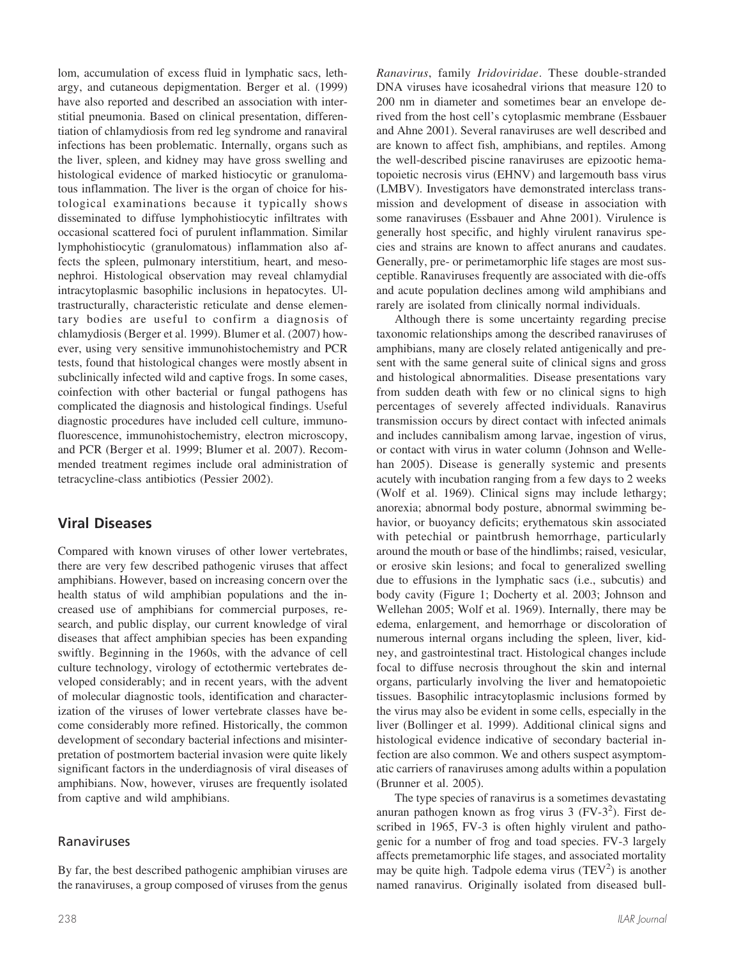lom, accumulation of excess fluid in lymphatic sacs, lethargy, and cutaneous depigmentation. Berger et al. (1999) have also reported and described an association with interstitial pneumonia. Based on clinical presentation, differentiation of chlamydiosis from red leg syndrome and ranaviral infections has been problematic. Internally, organs such as the liver, spleen, and kidney may have gross swelling and histological evidence of marked histiocytic or granulomatous inflammation. The liver is the organ of choice for histological examinations because it typically shows disseminated to diffuse lymphohistiocytic infiltrates with occasional scattered foci of purulent inflammation. Similar lymphohistiocytic (granulomatous) inflammation also affects the spleen, pulmonary interstitium, heart, and mesonephroi. Histological observation may reveal chlamydial intracytoplasmic basophilic inclusions in hepatocytes. Ultrastructurally, characteristic reticulate and dense elementary bodies are useful to confirm a diagnosis of chlamydiosis (Berger et al. 1999). Blumer et al. (2007) however, using very sensitive immunohistochemistry and PCR tests, found that histological changes were mostly absent in subclinically infected wild and captive frogs. In some cases, coinfection with other bacterial or fungal pathogens has complicated the diagnosis and histological findings. Useful diagnostic procedures have included cell culture, immunofluorescence, immunohistochemistry, electron microscopy, and PCR (Berger et al. 1999; Blumer et al. 2007). Recommended treatment regimes include oral administration of tetracycline-class antibiotics (Pessier 2002).

# **Viral Diseases**

Compared with known viruses of other lower vertebrates, there are very few described pathogenic viruses that affect amphibians. However, based on increasing concern over the health status of wild amphibian populations and the increased use of amphibians for commercial purposes, research, and public display, our current knowledge of viral diseases that affect amphibian species has been expanding swiftly. Beginning in the 1960s, with the advance of cell culture technology, virology of ectothermic vertebrates developed considerably; and in recent years, with the advent of molecular diagnostic tools, identification and characterization of the viruses of lower vertebrate classes have become considerably more refined. Historically, the common development of secondary bacterial infections and misinterpretation of postmortem bacterial invasion were quite likely significant factors in the underdiagnosis of viral diseases of amphibians. Now, however, viruses are frequently isolated from captive and wild amphibians.

### Ranaviruses

By far, the best described pathogenic amphibian viruses are the ranaviruses, a group composed of viruses from the genus

*Ranavirus*, family *Iridoviridae*. These double-stranded DNA viruses have icosahedral virions that measure 120 to 200 nm in diameter and sometimes bear an envelope derived from the host cell's cytoplasmic membrane (Essbauer and Ahne 2001). Several ranaviruses are well described and are known to affect fish, amphibians, and reptiles. Among the well-described piscine ranaviruses are epizootic hematopoietic necrosis virus (EHNV) and largemouth bass virus (LMBV). Investigators have demonstrated interclass transmission and development of disease in association with some ranaviruses (Essbauer and Ahne 2001). Virulence is generally host specific, and highly virulent ranavirus species and strains are known to affect anurans and caudates. Generally, pre- or perimetamorphic life stages are most susceptible. Ranaviruses frequently are associated with die-offs and acute population declines among wild amphibians and rarely are isolated from clinically normal individuals.

Although there is some uncertainty regarding precise taxonomic relationships among the described ranaviruses of amphibians, many are closely related antigenically and present with the same general suite of clinical signs and gross and histological abnormalities. Disease presentations vary from sudden death with few or no clinical signs to high percentages of severely affected individuals. Ranavirus transmission occurs by direct contact with infected animals and includes cannibalism among larvae, ingestion of virus, or contact with virus in water column (Johnson and Wellehan 2005). Disease is generally systemic and presents acutely with incubation ranging from a few days to 2 weeks (Wolf et al. 1969). Clinical signs may include lethargy; anorexia; abnormal body posture, abnormal swimming behavior, or buoyancy deficits; erythematous skin associated with petechial or paintbrush hemorrhage, particularly around the mouth or base of the hindlimbs; raised, vesicular, or erosive skin lesions; and focal to generalized swelling due to effusions in the lymphatic sacs (i.e., subcutis) and body cavity (Figure 1; Docherty et al. 2003; Johnson and Wellehan 2005; Wolf et al. 1969). Internally, there may be edema, enlargement, and hemorrhage or discoloration of numerous internal organs including the spleen, liver, kidney, and gastrointestinal tract. Histological changes include focal to diffuse necrosis throughout the skin and internal organs, particularly involving the liver and hematopoietic tissues. Basophilic intracytoplasmic inclusions formed by the virus may also be evident in some cells, especially in the liver (Bollinger et al. 1999). Additional clinical signs and histological evidence indicative of secondary bacterial infection are also common. We and others suspect asymptomatic carriers of ranaviruses among adults within a population (Brunner et al. 2005).

The type species of ranavirus is a sometimes devastating anuran pathogen known as frog virus  $3$  (FV- $3^2$ ). First described in 1965, FV-3 is often highly virulent and pathogenic for a number of frog and toad species. FV-3 largely affects premetamorphic life stages, and associated mortality may be quite high. Tadpole edema virus  $(TEV<sup>2</sup>)$  is another named ranavirus. Originally isolated from diseased bull-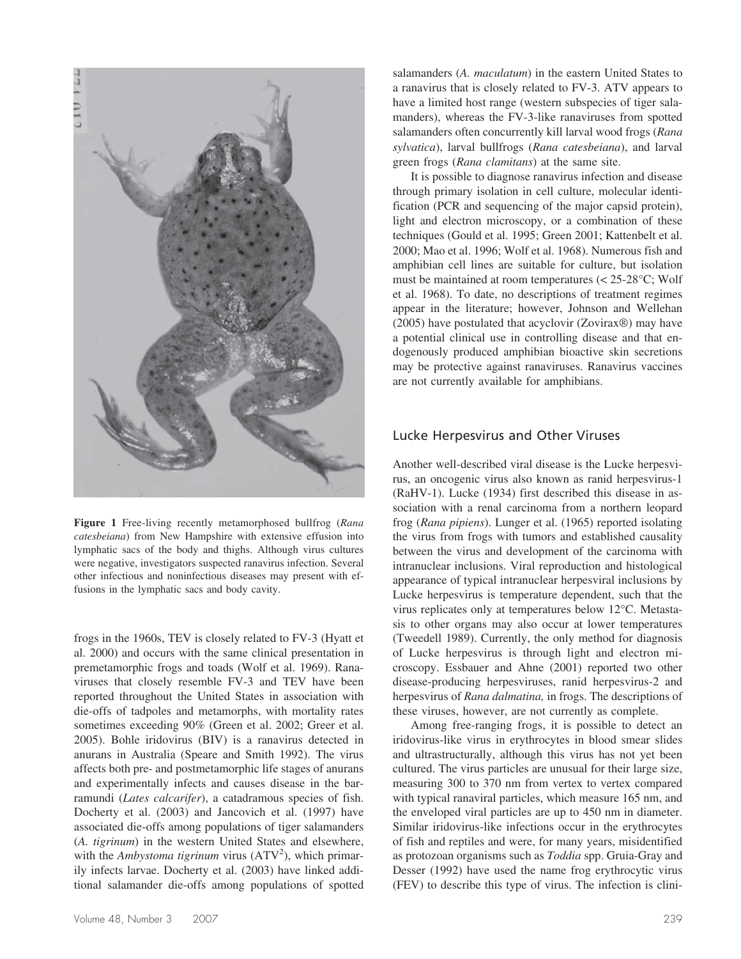

**Figure 1** Free-living recently metamorphosed bullfrog (*Rana catesbeiana*) from New Hampshire with extensive effusion into lymphatic sacs of the body and thighs. Although virus cultures were negative, investigators suspected ranavirus infection. Several other infectious and noninfectious diseases may present with effusions in the lymphatic sacs and body cavity.

frogs in the 1960s, TEV is closely related to FV-3 (Hyatt et al. 2000) and occurs with the same clinical presentation in premetamorphic frogs and toads (Wolf et al. 1969). Ranaviruses that closely resemble FV-3 and TEV have been reported throughout the United States in association with die-offs of tadpoles and metamorphs, with mortality rates sometimes exceeding 90% (Green et al. 2002; Greer et al. 2005). Bohle iridovirus (BIV) is a ranavirus detected in anurans in Australia (Speare and Smith 1992). The virus affects both pre- and postmetamorphic life stages of anurans and experimentally infects and causes disease in the barramundi (*Lates calcarifer*), a catadramous species of fish. Docherty et al. (2003) and Jancovich et al. (1997) have associated die-offs among populations of tiger salamanders (*A. tigrinum*) in the western United States and elsewhere, with the *Ambystoma tigrinum* virus (ATV<sup>2</sup>), which primarily infects larvae. Docherty et al. (2003) have linked additional salamander die-offs among populations of spotted

salamanders (*A. maculatum*) in the eastern United States to a ranavirus that is closely related to FV-3. ATV appears to have a limited host range (western subspecies of tiger salamanders), whereas the FV-3-like ranaviruses from spotted salamanders often concurrently kill larval wood frogs (*Rana sylvatica*), larval bullfrogs (*Rana catesbeiana*), and larval green frogs (*Rana clamitans*) at the same site.

It is possible to diagnose ranavirus infection and disease through primary isolation in cell culture, molecular identification (PCR and sequencing of the major capsid protein), light and electron microscopy, or a combination of these techniques (Gould et al. 1995; Green 2001; Kattenbelt et al. 2000; Mao et al. 1996; Wolf et al. 1968). Numerous fish and amphibian cell lines are suitable for culture, but isolation must be maintained at room temperatures (< 25-28°C; Wolf et al. 1968). To date, no descriptions of treatment regimes appear in the literature; however, Johnson and Wellehan (2005) have postulated that acyclovir (Zovirax®) may have a potential clinical use in controlling disease and that endogenously produced amphibian bioactive skin secretions may be protective against ranaviruses. Ranavirus vaccines are not currently available for amphibians.

#### Lucke Herpesvirus and Other Viruses

Another well-described viral disease is the Lucke herpesvirus, an oncogenic virus also known as ranid herpesvirus-1 (RaHV-1). Lucke (1934) first described this disease in association with a renal carcinoma from a northern leopard frog (*Rana pipiens*). Lunger et al. (1965) reported isolating the virus from frogs with tumors and established causality between the virus and development of the carcinoma with intranuclear inclusions. Viral reproduction and histological appearance of typical intranuclear herpesviral inclusions by Lucke herpesvirus is temperature dependent, such that the virus replicates only at temperatures below 12°C. Metastasis to other organs may also occur at lower temperatures (Tweedell 1989). Currently, the only method for diagnosis of Lucke herpesvirus is through light and electron microscopy. Essbauer and Ahne (2001) reported two other disease-producing herpesviruses, ranid herpesvirus-2 and herpesvirus of *Rana dalmatina,* in frogs. The descriptions of these viruses, however, are not currently as complete.

Among free-ranging frogs, it is possible to detect an iridovirus-like virus in erythrocytes in blood smear slides and ultrastructurally, although this virus has not yet been cultured. The virus particles are unusual for their large size, measuring 300 to 370 nm from vertex to vertex compared with typical ranaviral particles, which measure 165 nm, and the enveloped viral particles are up to 450 nm in diameter. Similar iridovirus-like infections occur in the erythrocytes of fish and reptiles and were, for many years, misidentified as protozoan organisms such as *Toddia* spp. Gruia-Gray and Desser (1992) have used the name frog erythrocytic virus (FEV) to describe this type of virus. The infection is clini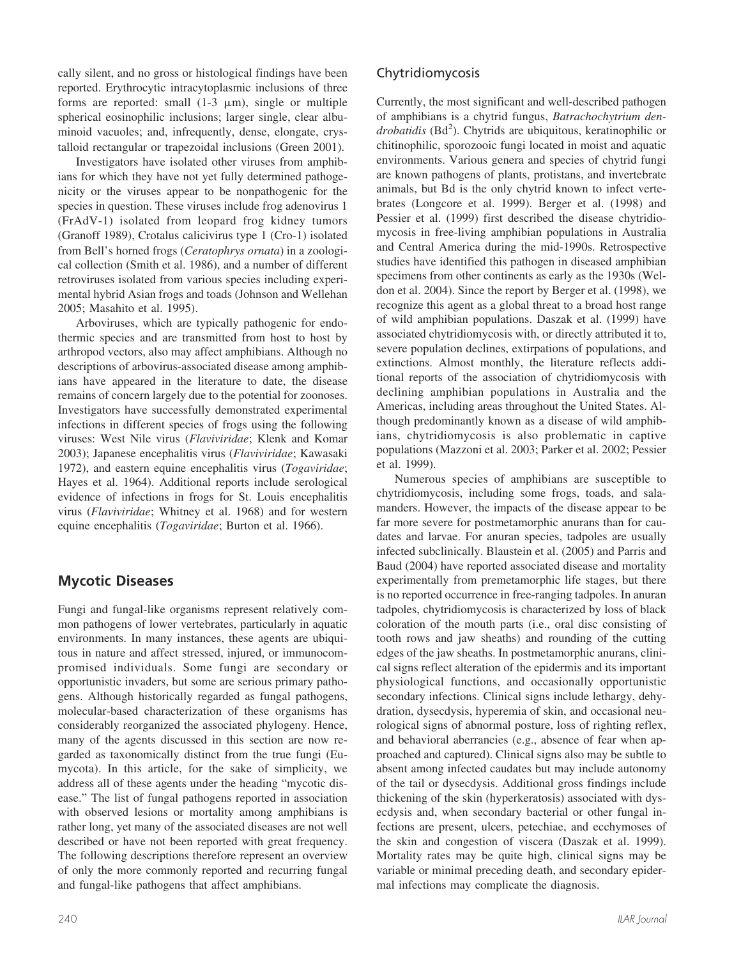cally silent, and no gross or histological findings have been reported. Erythrocytic intracytoplasmic inclusions of three forms are reported: small  $(1-3 \mu m)$ , single or multiple spherical eosinophilic inclusions; larger single, clear albuminoid vacuoles; and, infrequently, dense, elongate, crystalloid rectangular or trapezoidal inclusions (Green 2001).

Investigators have isolated other viruses from amphibians for which they have not yet fully determined pathogenicity or the viruses appear to be nonpathogenic for the species in question. These viruses include frog adenovirus 1 (FrAdV-1) isolated from leopard frog kidney tumors (Granoff 1989), Crotalus calicivirus type 1 (Cro-1) isolated from Bell's horned frogs (*Ceratophrys ornata*) in a zoological collection (Smith et al. 1986), and a number of different retroviruses isolated from various species including experimental hybrid Asian frogs and toads (Johnson and Wellehan 2005; Masahito et al. 1995).

Arboviruses, which are typically pathogenic for endothermic species and are transmitted from host to host by arthropod vectors, also may affect amphibians. Although no descriptions of arbovirus-associated disease among amphibians have appeared in the literature to date, the disease remains of concern largely due to the potential for zoonoses. Investigators have successfully demonstrated experimental infections in different species of frogs using the following viruses: West Nile virus (*Flaviviridae*; Klenk and Komar 2003); Japanese encephalitis virus (*Flaviviridae*; Kawasaki 1972), and eastern equine encephalitis virus (*Togaviridae*; Hayes et al. 1964). Additional reports include serological evidence of infections in frogs for St. Louis encephalitis virus (*Flaviviridae*; Whitney et al. 1968) and for western equine encephalitis (*Togaviridae*; Burton et al. 1966).

## **Mycotic Diseases**

Fungi and fungal-like organisms represent relatively common pathogens of lower vertebrates, particularly in aquatic environments. In many instances, these agents are ubiquitous in nature and affect stressed, injured, or immunocompromised individuals. Some fungi are secondary or opportunistic invaders, but some are serious primary pathogens. Although historically regarded as fungal pathogens, molecular-based characterization of these organisms has considerably reorganized the associated phylogeny. Hence, many of the agents discussed in this section are now regarded as taxonomically distinct from the true fungi (Eumycota). In this article, for the sake of simplicity, we address all of these agents under the heading "mycotic disease." The list of fungal pathogens reported in association with observed lesions or mortality among amphibians is rather long, yet many of the associated diseases are not well described or have not been reported with great frequency. The following descriptions therefore represent an overview of only the more commonly reported and recurring fungal and fungal-like pathogens that affect amphibians.

Currently, the most significant and well-described pathogen of amphibians is a chytrid fungus, *Batrachochytrium den*drobatidis (Bd<sup>2</sup>). Chytrids are ubiquitous, keratinophilic or chitinophilic, sporozooic fungi located in moist and aquatic environments. Various genera and species of chytrid fungi are known pathogens of plants, protistans, and invertebrate animals, but Bd is the only chytrid known to infect vertebrates (Longcore et al. 1999). Berger et al. (1998) and Pessier et al. (1999) first described the disease chytridiomycosis in free-living amphibian populations in Australia and Central America during the mid-1990s. Retrospective studies have identified this pathogen in diseased amphibian specimens from other continents as early as the 1930s (Weldon et al. 2004). Since the report by Berger et al. (1998), we recognize this agent as a global threat to a broad host range of wild amphibian populations. Daszak et al. (1999) have associated chytridiomycosis with, or directly attributed it to, severe population declines, extirpations of populations, and extinctions. Almost monthly, the literature reflects additional reports of the association of chytridiomycosis with declining amphibian populations in Australia and the Americas, including areas throughout the United States. Although predominantly known as a disease of wild amphibians, chytridiomycosis is also problematic in captive populations (Mazzoni et al. 2003; Parker et al. 2002; Pessier et al. 1999).

Numerous species of amphibians are susceptible to chytridiomycosis, including some frogs, toads, and salamanders. However, the impacts of the disease appear to be far more severe for postmetamorphic anurans than for caudates and larvae. For anuran species, tadpoles are usually infected subclinically. Blaustein et al. (2005) and Parris and Baud (2004) have reported associated disease and mortality experimentally from premetamorphic life stages, but there is no reported occurrence in free-ranging tadpoles. In anuran tadpoles, chytridiomycosis is characterized by loss of black coloration of the mouth parts (i.e., oral disc consisting of tooth rows and jaw sheaths) and rounding of the cutting edges of the jaw sheaths. In postmetamorphic anurans, clinical signs reflect alteration of the epidermis and its important physiological functions, and occasionally opportunistic secondary infections. Clinical signs include lethargy, dehydration, dysecdysis, hyperemia of skin, and occasional neurological signs of abnormal posture, loss of righting reflex, and behavioral aberrancies (e.g., absence of fear when approached and captured). Clinical signs also may be subtle to absent among infected caudates but may include autonomy of the tail or dysecdysis. Additional gross findings include thickening of the skin (hyperkeratosis) associated with dysecdysis and, when secondary bacterial or other fungal infections are present, ulcers, petechiae, and ecchymoses of the skin and congestion of viscera (Daszak et al. 1999). Mortality rates may be quite high, clinical signs may be variable or minimal preceding death, and secondary epidermal infections may complicate the diagnosis.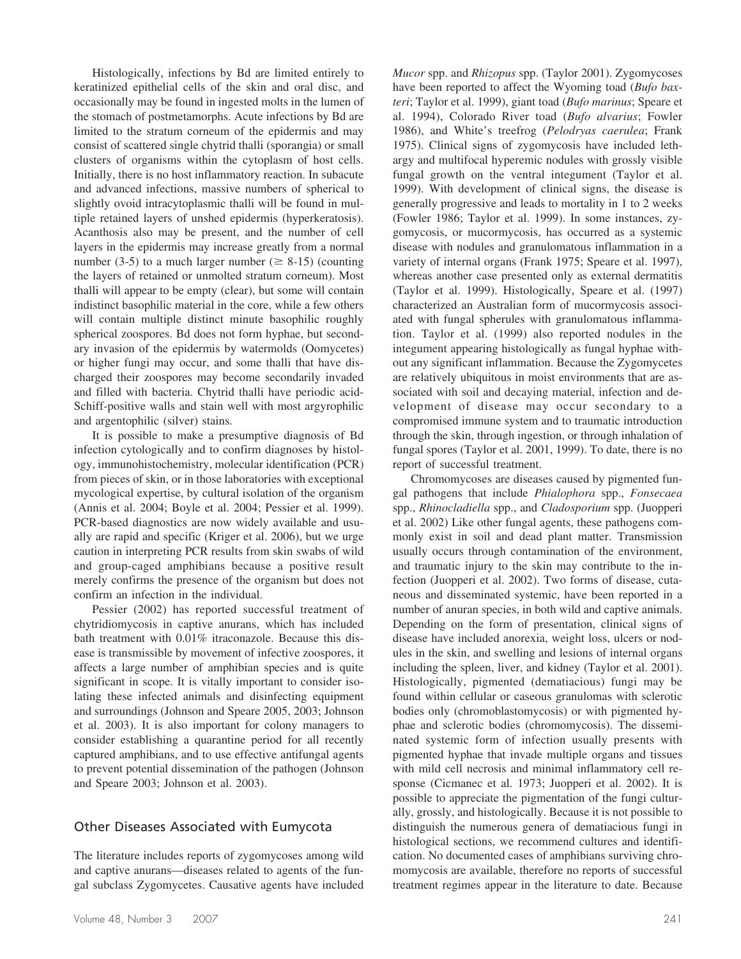Histologically, infections by Bd are limited entirely to keratinized epithelial cells of the skin and oral disc, and occasionally may be found in ingested molts in the lumen of the stomach of postmetamorphs. Acute infections by Bd are limited to the stratum corneum of the epidermis and may consist of scattered single chytrid thalli (sporangia) or small clusters of organisms within the cytoplasm of host cells. Initially, there is no host inflammatory reaction. In subacute and advanced infections, massive numbers of spherical to slightly ovoid intracytoplasmic thalli will be found in multiple retained layers of unshed epidermis (hyperkeratosis). Acanthosis also may be present, and the number of cell layers in the epidermis may increase greatly from a normal number (3-5) to a much larger number ( $\geq 8$ -15) (counting the layers of retained or unmolted stratum corneum). Most thalli will appear to be empty (clear), but some will contain indistinct basophilic material in the core, while a few others will contain multiple distinct minute basophilic roughly spherical zoospores. Bd does not form hyphae, but secondary invasion of the epidermis by watermolds (Oomycetes) or higher fungi may occur, and some thalli that have discharged their zoospores may become secondarily invaded and filled with bacteria. Chytrid thalli have periodic acid-Schiff-positive walls and stain well with most argyrophilic and argentophilic (silver) stains.

It is possible to make a presumptive diagnosis of Bd infection cytologically and to confirm diagnoses by histology, immunohistochemistry, molecular identification (PCR) from pieces of skin, or in those laboratories with exceptional mycological expertise, by cultural isolation of the organism (Annis et al. 2004; Boyle et al. 2004; Pessier et al. 1999). PCR-based diagnostics are now widely available and usually are rapid and specific (Kriger et al. 2006), but we urge caution in interpreting PCR results from skin swabs of wild and group-caged amphibians because a positive result merely confirms the presence of the organism but does not confirm an infection in the individual.

Pessier (2002) has reported successful treatment of chytridiomycosis in captive anurans, which has included bath treatment with 0.01% itraconazole. Because this disease is transmissible by movement of infective zoospores, it affects a large number of amphibian species and is quite significant in scope. It is vitally important to consider isolating these infected animals and disinfecting equipment and surroundings (Johnson and Speare 2005, 2003; Johnson et al. 2003). It is also important for colony managers to consider establishing a quarantine period for all recently captured amphibians, and to use effective antifungal agents to prevent potential dissemination of the pathogen (Johnson and Speare 2003; Johnson et al. 2003).

### Other Diseases Associated with Eumycota

The literature includes reports of zygomycoses among wild and captive anurans—diseases related to agents of the fungal subclass Zygomycetes. Causative agents have included *Mucor* spp. and *Rhizopus* spp. (Taylor 2001). Zygomycoses have been reported to affect the Wyoming toad (*Bufo baxteri*; Taylor et al. 1999), giant toad (*Bufo marinus*; Speare et al. 1994), Colorado River toad (*Bufo alvarius*; Fowler 1986), and White's treefrog (*Pelodryas caerulea*; Frank 1975). Clinical signs of zygomycosis have included lethargy and multifocal hyperemic nodules with grossly visible fungal growth on the ventral integument (Taylor et al. 1999). With development of clinical signs, the disease is generally progressive and leads to mortality in 1 to 2 weeks (Fowler 1986; Taylor et al. 1999). In some instances, zygomycosis, or mucormycosis, has occurred as a systemic disease with nodules and granulomatous inflammation in a variety of internal organs (Frank 1975; Speare et al. 1997), whereas another case presented only as external dermatitis (Taylor et al. 1999). Histologically, Speare et al. (1997) characterized an Australian form of mucormycosis associated with fungal spherules with granulomatous inflammation. Taylor et al. (1999) also reported nodules in the integument appearing histologically as fungal hyphae without any significant inflammation. Because the Zygomycetes are relatively ubiquitous in moist environments that are associated with soil and decaying material, infection and development of disease may occur secondary to a compromised immune system and to traumatic introduction through the skin, through ingestion, or through inhalation of fungal spores (Taylor et al. 2001, 1999). To date, there is no report of successful treatment.

Chromomycoses are diseases caused by pigmented fungal pathogens that include *Phialophora* spp., *Fonsecaea* spp., *Rhinocladiella* spp., and *Cladosporium* spp. (Juopperi et al. 2002) Like other fungal agents, these pathogens commonly exist in soil and dead plant matter. Transmission usually occurs through contamination of the environment, and traumatic injury to the skin may contribute to the infection (Juopperi et al. 2002). Two forms of disease, cutaneous and disseminated systemic, have been reported in a number of anuran species, in both wild and captive animals. Depending on the form of presentation, clinical signs of disease have included anorexia, weight loss, ulcers or nodules in the skin, and swelling and lesions of internal organs including the spleen, liver, and kidney (Taylor et al. 2001). Histologically, pigmented (dematiacious) fungi may be found within cellular or caseous granulomas with sclerotic bodies only (chromoblastomycosis) or with pigmented hyphae and sclerotic bodies (chromomycosis). The disseminated systemic form of infection usually presents with pigmented hyphae that invade multiple organs and tissues with mild cell necrosis and minimal inflammatory cell response (Cicmanec et al. 1973; Juopperi et al. 2002). It is possible to appreciate the pigmentation of the fungi culturally, grossly, and histologically. Because it is not possible to distinguish the numerous genera of dematiacious fungi in histological sections, we recommend cultures and identification. No documented cases of amphibians surviving chromomycosis are available, therefore no reports of successful treatment regimes appear in the literature to date. Because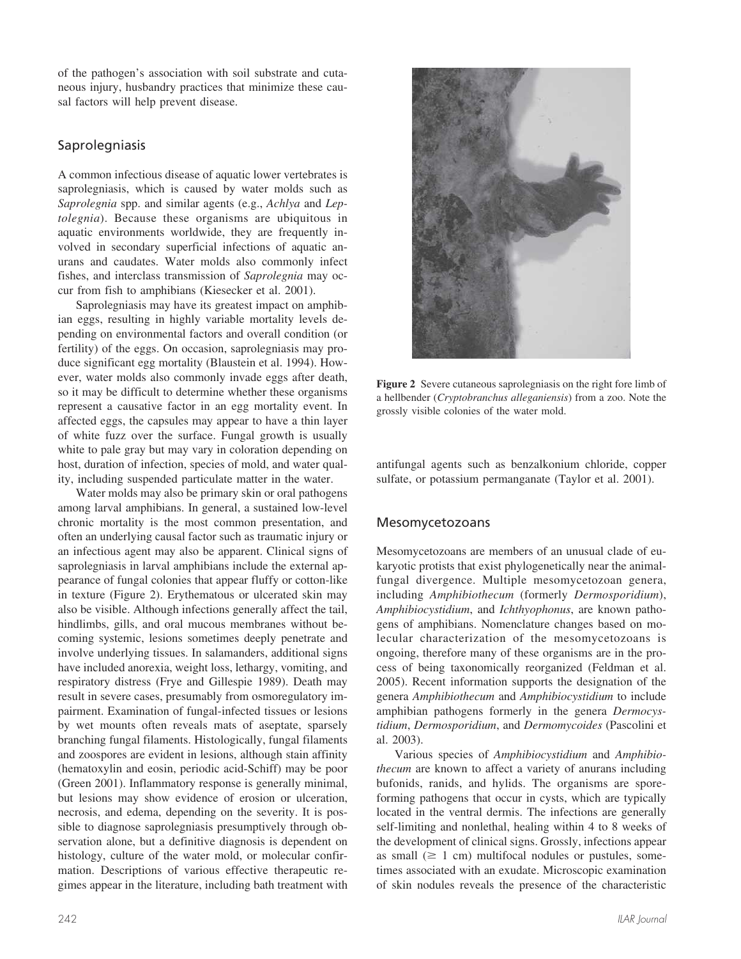of the pathogen's association with soil substrate and cutaneous injury, husbandry practices that minimize these causal factors will help prevent disease.

#### Saprolegniasis

A common infectious disease of aquatic lower vertebrates is saprolegniasis, which is caused by water molds such as *Saprolegnia* spp. and similar agents (e.g., *Achlya* and *Leptolegnia*). Because these organisms are ubiquitous in aquatic environments worldwide, they are frequently involved in secondary superficial infections of aquatic anurans and caudates. Water molds also commonly infect fishes, and interclass transmission of *Saprolegnia* may occur from fish to amphibians (Kiesecker et al. 2001).

Saprolegniasis may have its greatest impact on amphibian eggs, resulting in highly variable mortality levels depending on environmental factors and overall condition (or fertility) of the eggs. On occasion, saprolegniasis may produce significant egg mortality (Blaustein et al. 1994). However, water molds also commonly invade eggs after death, so it may be difficult to determine whether these organisms represent a causative factor in an egg mortality event. In affected eggs, the capsules may appear to have a thin layer of white fuzz over the surface. Fungal growth is usually white to pale gray but may vary in coloration depending on host, duration of infection, species of mold, and water quality, including suspended particulate matter in the water.

Water molds may also be primary skin or oral pathogens among larval amphibians. In general, a sustained low-level chronic mortality is the most common presentation, and often an underlying causal factor such as traumatic injury or an infectious agent may also be apparent. Clinical signs of saprolegniasis in larval amphibians include the external appearance of fungal colonies that appear fluffy or cotton-like in texture (Figure 2). Erythematous or ulcerated skin may also be visible. Although infections generally affect the tail, hindlimbs, gills, and oral mucous membranes without becoming systemic, lesions sometimes deeply penetrate and involve underlying tissues. In salamanders, additional signs have included anorexia, weight loss, lethargy, vomiting, and respiratory distress (Frye and Gillespie 1989). Death may result in severe cases, presumably from osmoregulatory impairment. Examination of fungal-infected tissues or lesions by wet mounts often reveals mats of aseptate, sparsely branching fungal filaments. Histologically, fungal filaments and zoospores are evident in lesions, although stain affinity (hematoxylin and eosin, periodic acid-Schiff) may be poor (Green 2001). Inflammatory response is generally minimal, but lesions may show evidence of erosion or ulceration, necrosis, and edema, depending on the severity. It is possible to diagnose saprolegniasis presumptively through observation alone, but a definitive diagnosis is dependent on histology, culture of the water mold, or molecular confirmation. Descriptions of various effective therapeutic regimes appear in the literature, including bath treatment with



**Figure 2** Severe cutaneous saprolegniasis on the right fore limb of a hellbender (*Cryptobranchus alleganiensis*) from a zoo. Note the grossly visible colonies of the water mold.

antifungal agents such as benzalkonium chloride, copper sulfate, or potassium permanganate (Taylor et al. 2001).

#### Mesomycetozoans

Mesomycetozoans are members of an unusual clade of eukaryotic protists that exist phylogenetically near the animalfungal divergence. Multiple mesomycetozoan genera, including *Amphibiothecum* (formerly *Dermosporidium*), *Amphibiocystidium*, and *Ichthyophonus*, are known pathogens of amphibians. Nomenclature changes based on molecular characterization of the mesomycetozoans is ongoing, therefore many of these organisms are in the process of being taxonomically reorganized (Feldman et al. 2005). Recent information supports the designation of the genera *Amphibiothecum* and *Amphibiocystidium* to include amphibian pathogens formerly in the genera *Dermocystidium*, *Dermosporidium*, and *Dermomycoides* (Pascolini et al. 2003).

Various species of *Amphibiocystidium* and *Amphibiothecum* are known to affect a variety of anurans including bufonids, ranids, and hylids. The organisms are sporeforming pathogens that occur in cysts, which are typically located in the ventral dermis. The infections are generally self-limiting and nonlethal, healing within 4 to 8 weeks of the development of clinical signs. Grossly, infections appear as small  $(\geq 1 \text{ cm})$  multifocal nodules or pustules, sometimes associated with an exudate. Microscopic examination of skin nodules reveals the presence of the characteristic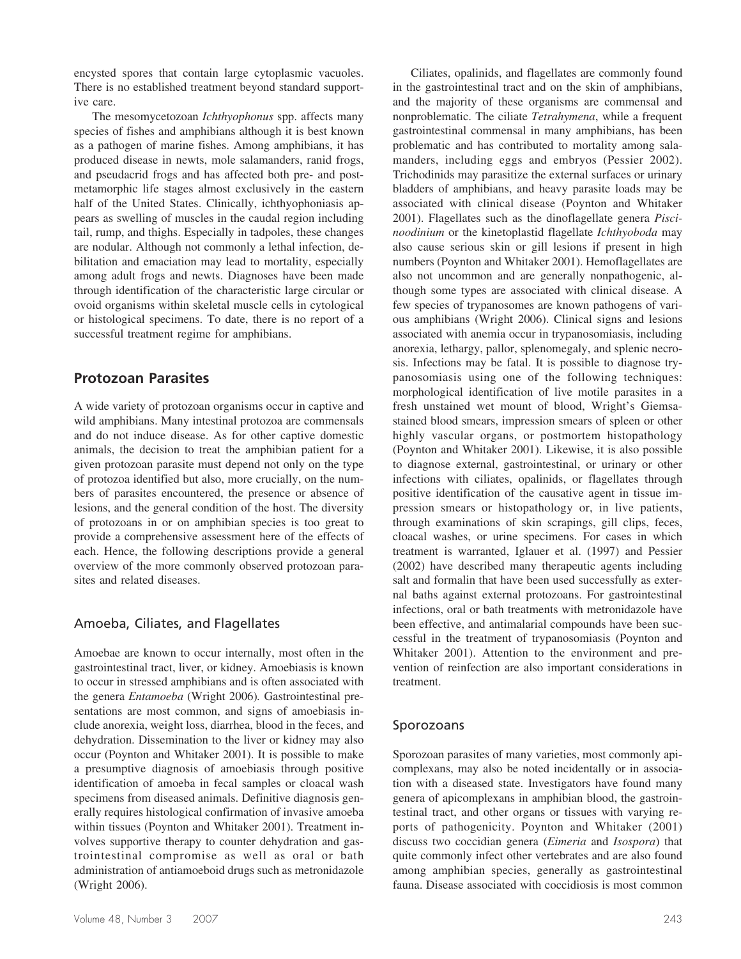encysted spores that contain large cytoplasmic vacuoles. There is no established treatment beyond standard supportive care.

The mesomycetozoan *Ichthyophonus* spp. affects many species of fishes and amphibians although it is best known as a pathogen of marine fishes. Among amphibians, it has produced disease in newts, mole salamanders, ranid frogs, and pseudacrid frogs and has affected both pre- and postmetamorphic life stages almost exclusively in the eastern half of the United States. Clinically, ichthyophoniasis appears as swelling of muscles in the caudal region including tail, rump, and thighs. Especially in tadpoles, these changes are nodular. Although not commonly a lethal infection, debilitation and emaciation may lead to mortality, especially among adult frogs and newts. Diagnoses have been made through identification of the characteristic large circular or ovoid organisms within skeletal muscle cells in cytological or histological specimens. To date, there is no report of a successful treatment regime for amphibians.

## **Protozoan Parasites**

A wide variety of protozoan organisms occur in captive and wild amphibians. Many intestinal protozoa are commensals and do not induce disease. As for other captive domestic animals, the decision to treat the amphibian patient for a given protozoan parasite must depend not only on the type of protozoa identified but also, more crucially, on the numbers of parasites encountered, the presence or absence of lesions, and the general condition of the host. The diversity of protozoans in or on amphibian species is too great to provide a comprehensive assessment here of the effects of each. Hence, the following descriptions provide a general overview of the more commonly observed protozoan parasites and related diseases.

## Amoeba, Ciliates, and Flagellates

Amoebae are known to occur internally, most often in the gastrointestinal tract, liver, or kidney. Amoebiasis is known to occur in stressed amphibians and is often associated with the genera *Entamoeba* (Wright 2006)*.* Gastrointestinal presentations are most common, and signs of amoebiasis include anorexia, weight loss, diarrhea, blood in the feces, and dehydration. Dissemination to the liver or kidney may also occur (Poynton and Whitaker 2001). It is possible to make a presumptive diagnosis of amoebiasis through positive identification of amoeba in fecal samples or cloacal wash specimens from diseased animals. Definitive diagnosis generally requires histological confirmation of invasive amoeba within tissues (Poynton and Whitaker 2001). Treatment involves supportive therapy to counter dehydration and gastrointestinal compromise as well as oral or bath administration of antiamoeboid drugs such as metronidazole (Wright 2006).

Ciliates, opalinids, and flagellates are commonly found in the gastrointestinal tract and on the skin of amphibians, and the majority of these organisms are commensal and nonproblematic. The ciliate *Tetrahymena*, while a frequent gastrointestinal commensal in many amphibians, has been problematic and has contributed to mortality among salamanders, including eggs and embryos (Pessier 2002). Trichodinids may parasitize the external surfaces or urinary bladders of amphibians, and heavy parasite loads may be associated with clinical disease (Poynton and Whitaker 2001). Flagellates such as the dinoflagellate genera *Piscinoodinium* or the kinetoplastid flagellate *Ichthyoboda* may also cause serious skin or gill lesions if present in high numbers (Poynton and Whitaker 2001). Hemoflagellates are also not uncommon and are generally nonpathogenic, although some types are associated with clinical disease. A few species of trypanosomes are known pathogens of various amphibians (Wright 2006). Clinical signs and lesions associated with anemia occur in trypanosomiasis, including anorexia, lethargy, pallor, splenomegaly, and splenic necrosis. Infections may be fatal. It is possible to diagnose trypanosomiasis using one of the following techniques: morphological identification of live motile parasites in a fresh unstained wet mount of blood, Wright's Giemsastained blood smears, impression smears of spleen or other highly vascular organs, or postmortem histopathology (Poynton and Whitaker 2001). Likewise, it is also possible to diagnose external, gastrointestinal, or urinary or other infections with ciliates, opalinids, or flagellates through positive identification of the causative agent in tissue impression smears or histopathology or, in live patients, through examinations of skin scrapings, gill clips, feces, cloacal washes, or urine specimens. For cases in which treatment is warranted, Iglauer et al. (1997) and Pessier (2002) have described many therapeutic agents including salt and formalin that have been used successfully as external baths against external protozoans. For gastrointestinal infections, oral or bath treatments with metronidazole have been effective, and antimalarial compounds have been successful in the treatment of trypanosomiasis (Poynton and Whitaker 2001). Attention to the environment and prevention of reinfection are also important considerations in treatment.

#### Sporozoans

Sporozoan parasites of many varieties, most commonly apicomplexans, may also be noted incidentally or in association with a diseased state. Investigators have found many genera of apicomplexans in amphibian blood, the gastrointestinal tract, and other organs or tissues with varying reports of pathogenicity. Poynton and Whitaker (2001) discuss two coccidian genera (*Eimeria* and *Isospora*) that quite commonly infect other vertebrates and are also found among amphibian species, generally as gastrointestinal fauna. Disease associated with coccidiosis is most common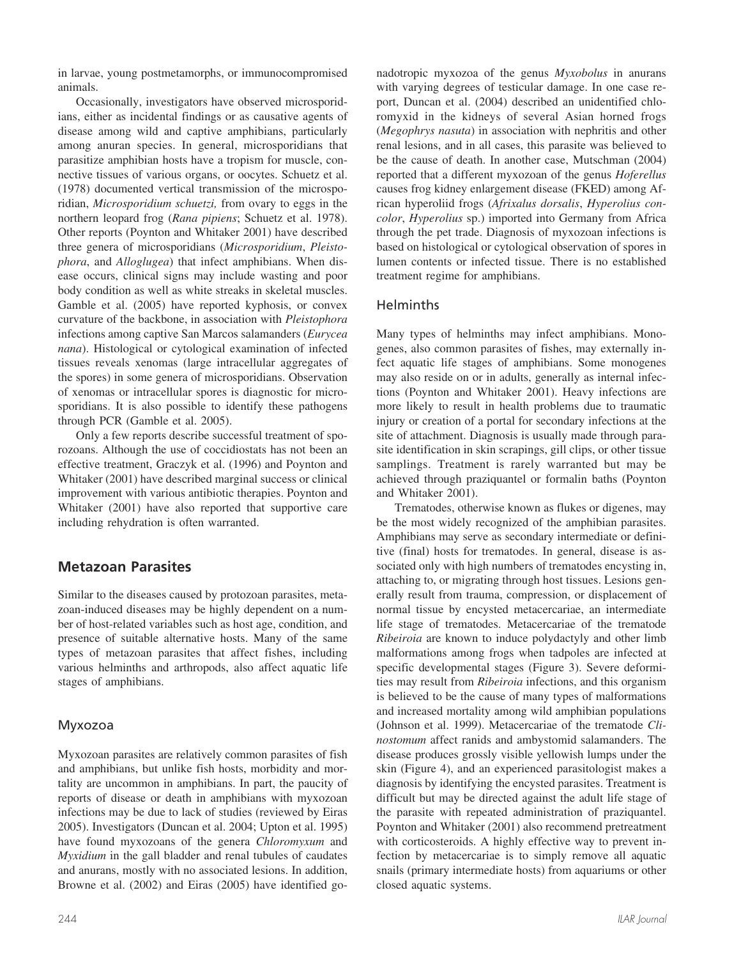in larvae, young postmetamorphs, or immunocompromised animals.

Occasionally, investigators have observed microsporidians, either as incidental findings or as causative agents of disease among wild and captive amphibians, particularly among anuran species. In general, microsporidians that parasitize amphibian hosts have a tropism for muscle, connective tissues of various organs, or oocytes. Schuetz et al. (1978) documented vertical transmission of the microsporidian, *Microsporidium schuetzi,* from ovary to eggs in the northern leopard frog (*Rana pipiens*; Schuetz et al. 1978). Other reports (Poynton and Whitaker 2001) have described three genera of microsporidians (*Microsporidium*, *Pleistophora*, and *Alloglugea*) that infect amphibians. When disease occurs, clinical signs may include wasting and poor body condition as well as white streaks in skeletal muscles. Gamble et al. (2005) have reported kyphosis, or convex curvature of the backbone, in association with *Pleistophora* infections among captive San Marcos salamanders (*Eurycea nana*). Histological or cytological examination of infected tissues reveals xenomas (large intracellular aggregates of the spores) in some genera of microsporidians. Observation of xenomas or intracellular spores is diagnostic for microsporidians. It is also possible to identify these pathogens through PCR (Gamble et al. 2005).

Only a few reports describe successful treatment of sporozoans. Although the use of coccidiostats has not been an effective treatment, Graczyk et al. (1996) and Poynton and Whitaker (2001) have described marginal success or clinical improvement with various antibiotic therapies. Poynton and Whitaker (2001) have also reported that supportive care including rehydration is often warranted.

### **Metazoan Parasites**

Similar to the diseases caused by protozoan parasites, metazoan-induced diseases may be highly dependent on a number of host-related variables such as host age, condition, and presence of suitable alternative hosts. Many of the same types of metazoan parasites that affect fishes, including various helminths and arthropods, also affect aquatic life stages of amphibians.

### Myxozoa

Myxozoan parasites are relatively common parasites of fish and amphibians, but unlike fish hosts, morbidity and mortality are uncommon in amphibians. In part, the paucity of reports of disease or death in amphibians with myxozoan infections may be due to lack of studies (reviewed by Eiras 2005). Investigators (Duncan et al. 2004; Upton et al. 1995) have found myxozoans of the genera *Chloromyxum* and *Myxidium* in the gall bladder and renal tubules of caudates and anurans, mostly with no associated lesions. In addition, Browne et al. (2002) and Eiras (2005) have identified go-

nadotropic myxozoa of the genus *Myxobolus* in anurans with varying degrees of testicular damage. In one case report, Duncan et al. (2004) described an unidentified chloromyxid in the kidneys of several Asian horned frogs (*Megophrys nasuta*) in association with nephritis and other renal lesions, and in all cases, this parasite was believed to be the cause of death. In another case, Mutschman (2004) reported that a different myxozoan of the genus *Hoferellus* causes frog kidney enlargement disease (FKED) among African hyperoliid frogs (*Afrixalus dorsalis*, *Hyperolius concolor*, *Hyperolius* sp.) imported into Germany from Africa through the pet trade. Diagnosis of myxozoan infections is based on histological or cytological observation of spores in lumen contents or infected tissue. There is no established treatment regime for amphibians.

### Helminths

Many types of helminths may infect amphibians. Monogenes, also common parasites of fishes, may externally infect aquatic life stages of amphibians. Some monogenes may also reside on or in adults, generally as internal infections (Poynton and Whitaker 2001). Heavy infections are more likely to result in health problems due to traumatic injury or creation of a portal for secondary infections at the site of attachment. Diagnosis is usually made through parasite identification in skin scrapings, gill clips, or other tissue samplings. Treatment is rarely warranted but may be achieved through praziquantel or formalin baths (Poynton and Whitaker 2001).

Trematodes, otherwise known as flukes or digenes, may be the most widely recognized of the amphibian parasites. Amphibians may serve as secondary intermediate or definitive (final) hosts for trematodes. In general, disease is associated only with high numbers of trematodes encysting in, attaching to, or migrating through host tissues. Lesions generally result from trauma, compression, or displacement of normal tissue by encysted metacercariae, an intermediate life stage of trematodes. Metacercariae of the trematode *Ribeiroia* are known to induce polydactyly and other limb malformations among frogs when tadpoles are infected at specific developmental stages (Figure 3). Severe deformities may result from *Ribeiroia* infections, and this organism is believed to be the cause of many types of malformations and increased mortality among wild amphibian populations (Johnson et al. 1999). Metacercariae of the trematode *Clinostomum* affect ranids and ambystomid salamanders. The disease produces grossly visible yellowish lumps under the skin (Figure 4), and an experienced parasitologist makes a diagnosis by identifying the encysted parasites. Treatment is difficult but may be directed against the adult life stage of the parasite with repeated administration of praziquantel. Poynton and Whitaker (2001) also recommend pretreatment with corticosteroids. A highly effective way to prevent infection by metacercariae is to simply remove all aquatic snails (primary intermediate hosts) from aquariums or other closed aquatic systems.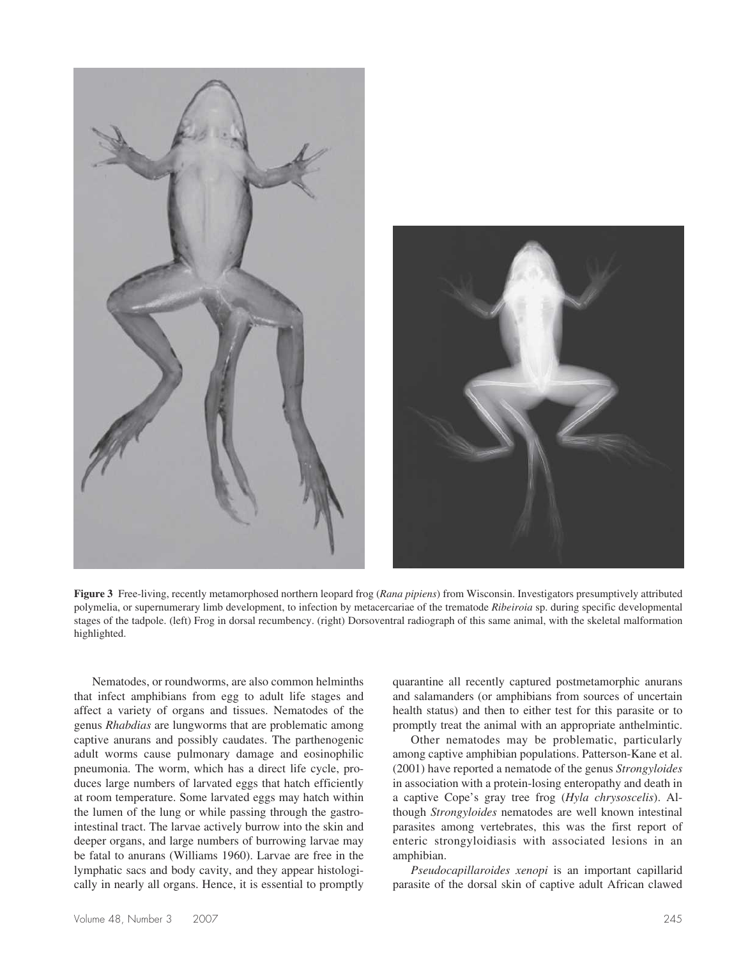



**Figure 3** Free-living, recently metamorphosed northern leopard frog (*Rana pipiens*) from Wisconsin. Investigators presumptively attributed polymelia, or supernumerary limb development, to infection by metacercariae of the trematode *Ribeiroia* sp. during specific developmental stages of the tadpole. (left) Frog in dorsal recumbency. (right) Dorsoventral radiograph of this same animal, with the skeletal malformation highlighted.

Nematodes, or roundworms, are also common helminths that infect amphibians from egg to adult life stages and affect a variety of organs and tissues. Nematodes of the genus *Rhabdias* are lungworms that are problematic among captive anurans and possibly caudates. The parthenogenic adult worms cause pulmonary damage and eosinophilic pneumonia. The worm, which has a direct life cycle, produces large numbers of larvated eggs that hatch efficiently at room temperature. Some larvated eggs may hatch within the lumen of the lung or while passing through the gastrointestinal tract. The larvae actively burrow into the skin and deeper organs, and large numbers of burrowing larvae may be fatal to anurans (Williams 1960). Larvae are free in the lymphatic sacs and body cavity, and they appear histologically in nearly all organs. Hence, it is essential to promptly

quarantine all recently captured postmetamorphic anurans and salamanders (or amphibians from sources of uncertain health status) and then to either test for this parasite or to promptly treat the animal with an appropriate anthelmintic.

Other nematodes may be problematic, particularly among captive amphibian populations. Patterson-Kane et al. (2001) have reported a nematode of the genus *Strongyloides* in association with a protein-losing enteropathy and death in a captive Cope's gray tree frog (*Hyla chrysoscelis*). Although *Strongyloides* nematodes are well known intestinal parasites among vertebrates, this was the first report of enteric strongyloidiasis with associated lesions in an amphibian.

*Pseudocapillaroides xenopi* is an important capillarid parasite of the dorsal skin of captive adult African clawed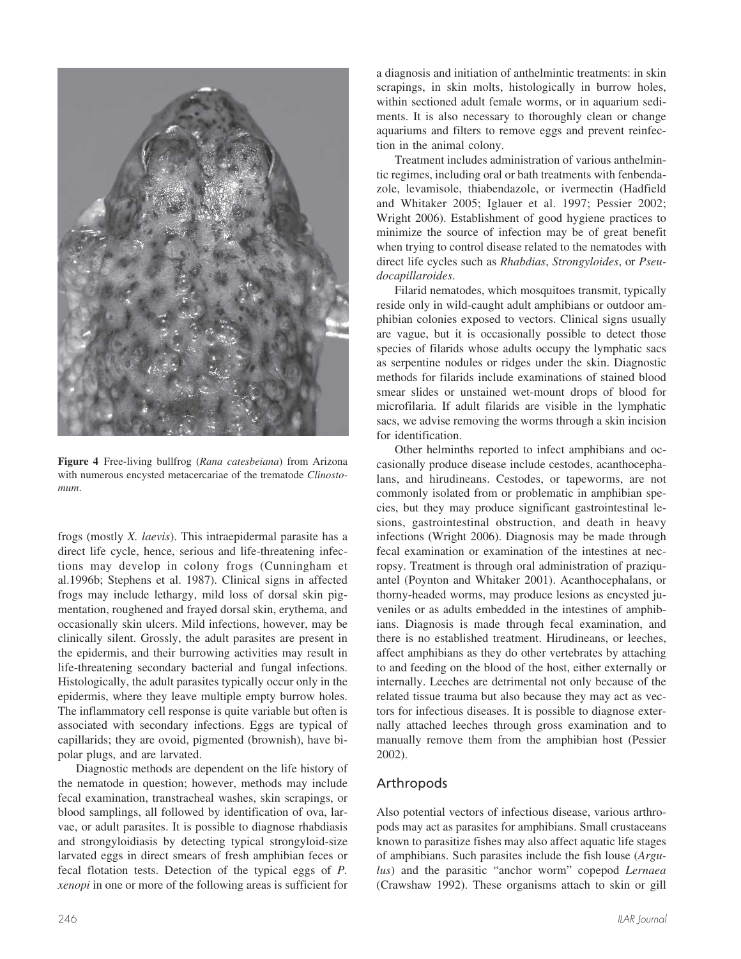

**Figure 4** Free-living bullfrog (*Rana catesbeiana*) from Arizona with numerous encysted metacercariae of the trematode *Clinostomum*.

frogs (mostly *X. laevis*). This intraepidermal parasite has a direct life cycle, hence, serious and life-threatening infections may develop in colony frogs (Cunningham et al.1996b; Stephens et al. 1987). Clinical signs in affected frogs may include lethargy, mild loss of dorsal skin pigmentation, roughened and frayed dorsal skin, erythema, and occasionally skin ulcers. Mild infections, however, may be clinically silent. Grossly, the adult parasites are present in the epidermis, and their burrowing activities may result in life-threatening secondary bacterial and fungal infections. Histologically, the adult parasites typically occur only in the epidermis, where they leave multiple empty burrow holes. The inflammatory cell response is quite variable but often is associated with secondary infections. Eggs are typical of capillarids; they are ovoid, pigmented (brownish), have bipolar plugs, and are larvated.

Diagnostic methods are dependent on the life history of the nematode in question; however, methods may include fecal examination, transtracheal washes, skin scrapings, or blood samplings, all followed by identification of ova, larvae, or adult parasites. It is possible to diagnose rhabdiasis and strongyloidiasis by detecting typical strongyloid-size larvated eggs in direct smears of fresh amphibian feces or fecal flotation tests. Detection of the typical eggs of *P. xenopi* in one or more of the following areas is sufficient for

a diagnosis and initiation of anthelmintic treatments: in skin scrapings, in skin molts, histologically in burrow holes, within sectioned adult female worms, or in aquarium sediments. It is also necessary to thoroughly clean or change aquariums and filters to remove eggs and prevent reinfection in the animal colony.

Treatment includes administration of various anthelmintic regimes, including oral or bath treatments with fenbendazole, levamisole, thiabendazole, or ivermectin (Hadfield and Whitaker 2005; Iglauer et al. 1997; Pessier 2002; Wright 2006). Establishment of good hygiene practices to minimize the source of infection may be of great benefit when trying to control disease related to the nematodes with direct life cycles such as *Rhabdias*, *Strongyloides*, or *Pseudocapillaroides*.

Filarid nematodes, which mosquitoes transmit, typically reside only in wild-caught adult amphibians or outdoor amphibian colonies exposed to vectors. Clinical signs usually are vague, but it is occasionally possible to detect those species of filarids whose adults occupy the lymphatic sacs as serpentine nodules or ridges under the skin. Diagnostic methods for filarids include examinations of stained blood smear slides or unstained wet-mount drops of blood for microfilaria. If adult filarids are visible in the lymphatic sacs, we advise removing the worms through a skin incision for identification.

Other helminths reported to infect amphibians and occasionally produce disease include cestodes, acanthocephalans, and hirudineans. Cestodes, or tapeworms, are not commonly isolated from or problematic in amphibian species, but they may produce significant gastrointestinal lesions, gastrointestinal obstruction, and death in heavy infections (Wright 2006). Diagnosis may be made through fecal examination or examination of the intestines at necropsy. Treatment is through oral administration of praziquantel (Poynton and Whitaker 2001). Acanthocephalans, or thorny-headed worms, may produce lesions as encysted juveniles or as adults embedded in the intestines of amphibians. Diagnosis is made through fecal examination, and there is no established treatment. Hirudineans, or leeches, affect amphibians as they do other vertebrates by attaching to and feeding on the blood of the host, either externally or internally. Leeches are detrimental not only because of the related tissue trauma but also because they may act as vectors for infectious diseases. It is possible to diagnose externally attached leeches through gross examination and to manually remove them from the amphibian host (Pessier 2002).

### Arthropods

Also potential vectors of infectious disease, various arthropods may act as parasites for amphibians. Small crustaceans known to parasitize fishes may also affect aquatic life stages of amphibians. Such parasites include the fish louse (*Argulus*) and the parasitic "anchor worm" copepod *Lernaea* (Crawshaw 1992). These organisms attach to skin or gill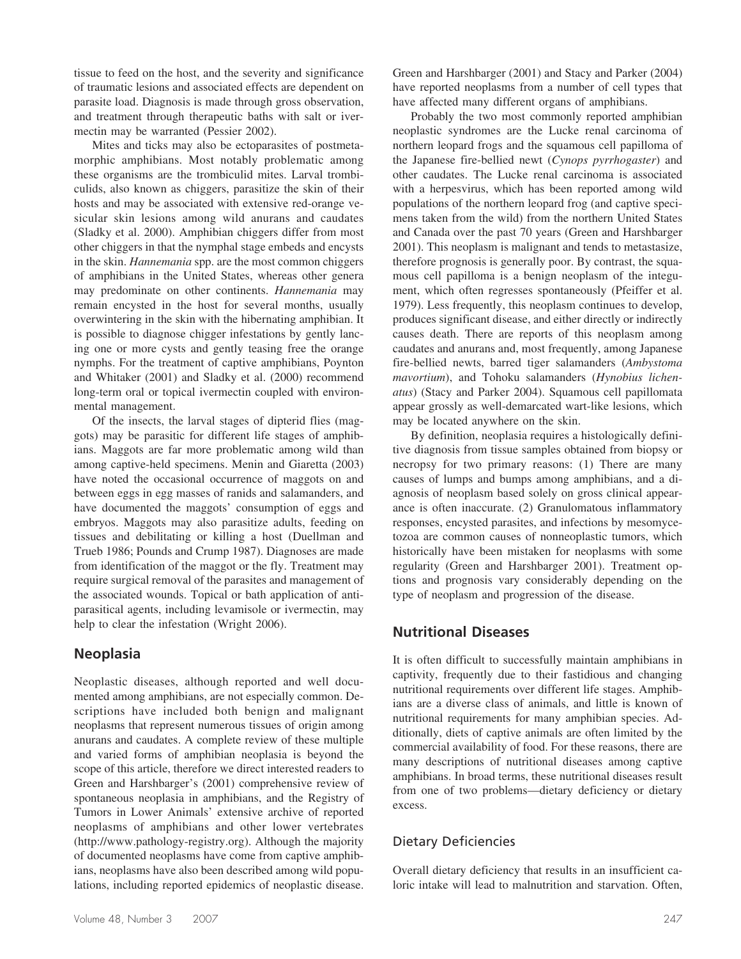tissue to feed on the host, and the severity and significance of traumatic lesions and associated effects are dependent on parasite load. Diagnosis is made through gross observation, and treatment through therapeutic baths with salt or ivermectin may be warranted (Pessier 2002).

Mites and ticks may also be ectoparasites of postmetamorphic amphibians. Most notably problematic among these organisms are the trombiculid mites. Larval trombiculids, also known as chiggers, parasitize the skin of their hosts and may be associated with extensive red-orange vesicular skin lesions among wild anurans and caudates (Sladky et al. 2000). Amphibian chiggers differ from most other chiggers in that the nymphal stage embeds and encysts in the skin. *Hannemania* spp. are the most common chiggers of amphibians in the United States, whereas other genera may predominate on other continents. *Hannemania* may remain encysted in the host for several months, usually overwintering in the skin with the hibernating amphibian. It is possible to diagnose chigger infestations by gently lancing one or more cysts and gently teasing free the orange nymphs. For the treatment of captive amphibians, Poynton and Whitaker (2001) and Sladky et al. (2000) recommend long-term oral or topical ivermectin coupled with environmental management.

Of the insects, the larval stages of dipterid flies (maggots) may be parasitic for different life stages of amphibians. Maggots are far more problematic among wild than among captive-held specimens. Menin and Giaretta (2003) have noted the occasional occurrence of maggots on and between eggs in egg masses of ranids and salamanders, and have documented the maggots' consumption of eggs and embryos. Maggots may also parasitize adults, feeding on tissues and debilitating or killing a host (Duellman and Trueb 1986; Pounds and Crump 1987). Diagnoses are made from identification of the maggot or the fly. Treatment may require surgical removal of the parasites and management of the associated wounds. Topical or bath application of antiparasitical agents, including levamisole or ivermectin, may help to clear the infestation (Wright 2006).

# **Neoplasia**

Neoplastic diseases, although reported and well documented among amphibians, are not especially common. Descriptions have included both benign and malignant neoplasms that represent numerous tissues of origin among anurans and caudates. A complete review of these multiple and varied forms of amphibian neoplasia is beyond the scope of this article, therefore we direct interested readers to Green and Harshbarger's (2001) comprehensive review of spontaneous neoplasia in amphibians, and the Registry of Tumors in Lower Animals' extensive archive of reported neoplasms of amphibians and other lower vertebrates (http://www.pathology-registry.org). Although the majority of documented neoplasms have come from captive amphibians, neoplasms have also been described among wild populations, including reported epidemics of neoplastic disease.

Green and Harshbarger (2001) and Stacy and Parker (2004) have reported neoplasms from a number of cell types that have affected many different organs of amphibians.

Probably the two most commonly reported amphibian neoplastic syndromes are the Lucke renal carcinoma of northern leopard frogs and the squamous cell papilloma of the Japanese fire-bellied newt (*Cynops pyrrhogaster*) and other caudates. The Lucke renal carcinoma is associated with a herpesvirus, which has been reported among wild populations of the northern leopard frog (and captive specimens taken from the wild) from the northern United States and Canada over the past 70 years (Green and Harshbarger 2001). This neoplasm is malignant and tends to metastasize, therefore prognosis is generally poor. By contrast, the squamous cell papilloma is a benign neoplasm of the integument, which often regresses spontaneously (Pfeiffer et al. 1979). Less frequently, this neoplasm continues to develop, produces significant disease, and either directly or indirectly causes death. There are reports of this neoplasm among caudates and anurans and, most frequently, among Japanese fire-bellied newts, barred tiger salamanders (*Ambystoma mavortium*), and Tohoku salamanders (*Hynobius lichenatus*) (Stacy and Parker 2004). Squamous cell papillomata appear grossly as well-demarcated wart-like lesions, which may be located anywhere on the skin.

By definition, neoplasia requires a histologically definitive diagnosis from tissue samples obtained from biopsy or necropsy for two primary reasons: (1) There are many causes of lumps and bumps among amphibians, and a diagnosis of neoplasm based solely on gross clinical appearance is often inaccurate. (2) Granulomatous inflammatory responses, encysted parasites, and infections by mesomycetozoa are common causes of nonneoplastic tumors, which historically have been mistaken for neoplasms with some regularity (Green and Harshbarger 2001). Treatment options and prognosis vary considerably depending on the type of neoplasm and progression of the disease.

## **Nutritional Diseases**

It is often difficult to successfully maintain amphibians in captivity, frequently due to their fastidious and changing nutritional requirements over different life stages. Amphibians are a diverse class of animals, and little is known of nutritional requirements for many amphibian species. Additionally, diets of captive animals are often limited by the commercial availability of food. For these reasons, there are many descriptions of nutritional diseases among captive amphibians. In broad terms, these nutritional diseases result from one of two problems—dietary deficiency or dietary excess.

## Dietary Deficiencies

Overall dietary deficiency that results in an insufficient caloric intake will lead to malnutrition and starvation. Often,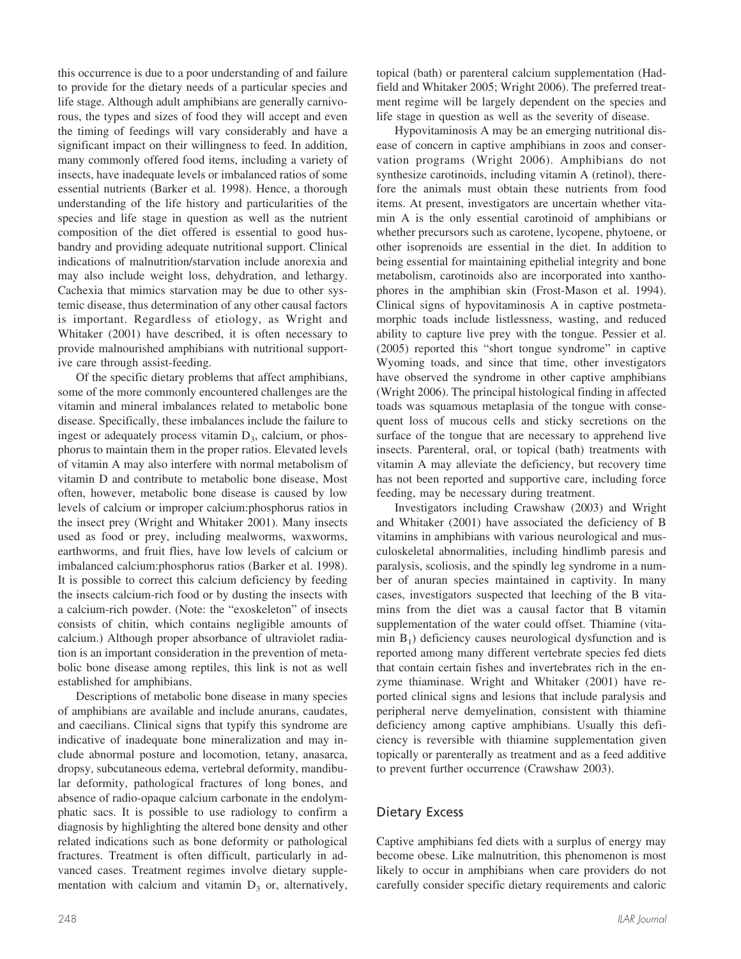this occurrence is due to a poor understanding of and failure to provide for the dietary needs of a particular species and life stage. Although adult amphibians are generally carnivorous, the types and sizes of food they will accept and even the timing of feedings will vary considerably and have a significant impact on their willingness to feed. In addition, many commonly offered food items, including a variety of insects, have inadequate levels or imbalanced ratios of some essential nutrients (Barker et al. 1998). Hence, a thorough understanding of the life history and particularities of the species and life stage in question as well as the nutrient composition of the diet offered is essential to good husbandry and providing adequate nutritional support. Clinical indications of malnutrition/starvation include anorexia and may also include weight loss, dehydration, and lethargy. Cachexia that mimics starvation may be due to other systemic disease, thus determination of any other causal factors is important. Regardless of etiology, as Wright and Whitaker (2001) have described, it is often necessary to provide malnourished amphibians with nutritional supportive care through assist-feeding.

Of the specific dietary problems that affect amphibians, some of the more commonly encountered challenges are the vitamin and mineral imbalances related to metabolic bone disease. Specifically, these imbalances include the failure to ingest or adequately process vitamin  $D_3$ , calcium, or phosphorus to maintain them in the proper ratios. Elevated levels of vitamin A may also interfere with normal metabolism of vitamin D and contribute to metabolic bone disease, Most often, however, metabolic bone disease is caused by low levels of calcium or improper calcium:phosphorus ratios in the insect prey (Wright and Whitaker 2001). Many insects used as food or prey, including mealworms, waxworms, earthworms, and fruit flies, have low levels of calcium or imbalanced calcium:phosphorus ratios (Barker et al. 1998). It is possible to correct this calcium deficiency by feeding the insects calcium-rich food or by dusting the insects with a calcium-rich powder. (Note: the "exoskeleton" of insects consists of chitin, which contains negligible amounts of calcium.) Although proper absorbance of ultraviolet radiation is an important consideration in the prevention of metabolic bone disease among reptiles, this link is not as well established for amphibians.

Descriptions of metabolic bone disease in many species of amphibians are available and include anurans, caudates, and caecilians. Clinical signs that typify this syndrome are indicative of inadequate bone mineralization and may include abnormal posture and locomotion, tetany, anasarca, dropsy, subcutaneous edema, vertebral deformity, mandibular deformity, pathological fractures of long bones, and absence of radio-opaque calcium carbonate in the endolymphatic sacs. It is possible to use radiology to confirm a diagnosis by highlighting the altered bone density and other related indications such as bone deformity or pathological fractures. Treatment is often difficult, particularly in advanced cases. Treatment regimes involve dietary supplementation with calcium and vitamin  $D_3$  or, alternatively, topical (bath) or parenteral calcium supplementation (Hadfield and Whitaker 2005; Wright 2006). The preferred treatment regime will be largely dependent on the species and life stage in question as well as the severity of disease.

Hypovitaminosis A may be an emerging nutritional disease of concern in captive amphibians in zoos and conservation programs (Wright 2006). Amphibians do not synthesize carotinoids, including vitamin A (retinol), therefore the animals must obtain these nutrients from food items. At present, investigators are uncertain whether vitamin A is the only essential carotinoid of amphibians or whether precursors such as carotene, lycopene, phytoene, or other isoprenoids are essential in the diet. In addition to being essential for maintaining epithelial integrity and bone metabolism, carotinoids also are incorporated into xanthophores in the amphibian skin (Frost-Mason et al. 1994). Clinical signs of hypovitaminosis A in captive postmetamorphic toads include listlessness, wasting, and reduced ability to capture live prey with the tongue. Pessier et al. (2005) reported this "short tongue syndrome" in captive Wyoming toads, and since that time, other investigators have observed the syndrome in other captive amphibians (Wright 2006). The principal histological finding in affected toads was squamous metaplasia of the tongue with consequent loss of mucous cells and sticky secretions on the surface of the tongue that are necessary to apprehend live insects. Parenteral, oral, or topical (bath) treatments with vitamin A may alleviate the deficiency, but recovery time has not been reported and supportive care, including force feeding, may be necessary during treatment.

Investigators including Crawshaw (2003) and Wright and Whitaker (2001) have associated the deficiency of B vitamins in amphibians with various neurological and musculoskeletal abnormalities, including hindlimb paresis and paralysis, scoliosis, and the spindly leg syndrome in a number of anuran species maintained in captivity. In many cases, investigators suspected that leeching of the B vitamins from the diet was a causal factor that B vitamin supplementation of the water could offset. Thiamine (vitamin  $B_1$ ) deficiency causes neurological dysfunction and is reported among many different vertebrate species fed diets that contain certain fishes and invertebrates rich in the enzyme thiaminase. Wright and Whitaker (2001) have reported clinical signs and lesions that include paralysis and peripheral nerve demyelination, consistent with thiamine deficiency among captive amphibians. Usually this deficiency is reversible with thiamine supplementation given topically or parenterally as treatment and as a feed additive to prevent further occurrence (Crawshaw 2003).

### Dietary Excess

Captive amphibians fed diets with a surplus of energy may become obese. Like malnutrition, this phenomenon is most likely to occur in amphibians when care providers do not carefully consider specific dietary requirements and caloric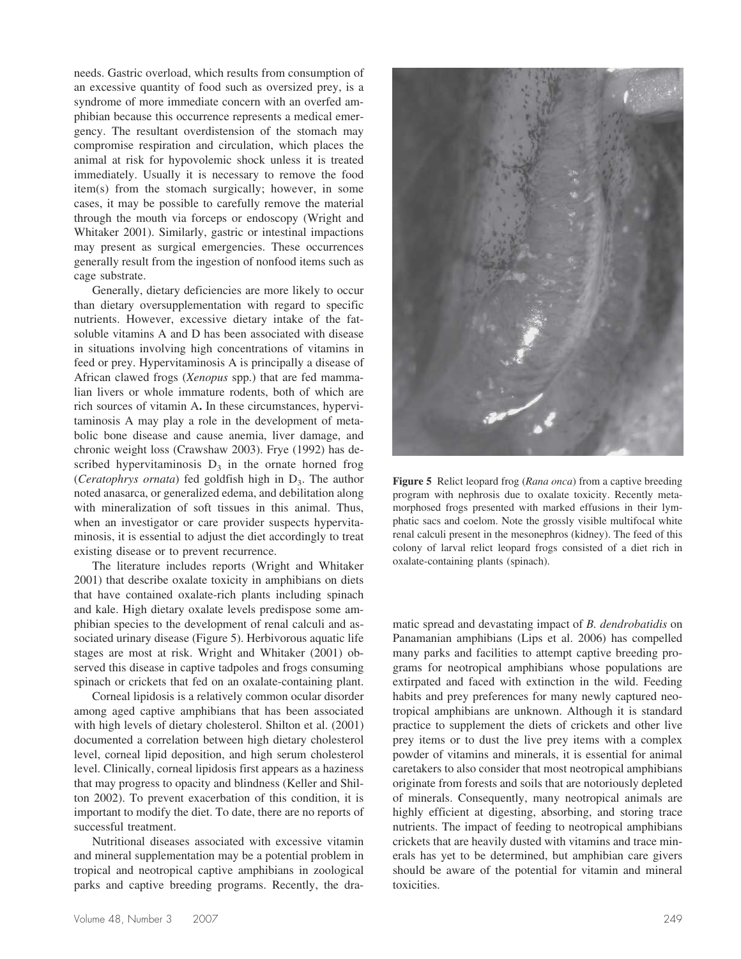needs. Gastric overload, which results from consumption of an excessive quantity of food such as oversized prey, is a syndrome of more immediate concern with an overfed amphibian because this occurrence represents a medical emergency. The resultant overdistension of the stomach may compromise respiration and circulation, which places the animal at risk for hypovolemic shock unless it is treated immediately. Usually it is necessary to remove the food item(s) from the stomach surgically; however, in some cases, it may be possible to carefully remove the material through the mouth via forceps or endoscopy (Wright and Whitaker 2001). Similarly, gastric or intestinal impactions may present as surgical emergencies. These occurrences generally result from the ingestion of nonfood items such as cage substrate.

Generally, dietary deficiencies are more likely to occur than dietary oversupplementation with regard to specific nutrients. However, excessive dietary intake of the fatsoluble vitamins A and D has been associated with disease in situations involving high concentrations of vitamins in feed or prey. Hypervitaminosis A is principally a disease of African clawed frogs (*Xenopus* spp.) that are fed mammalian livers or whole immature rodents, both of which are rich sources of vitamin A**.** In these circumstances, hypervitaminosis A may play a role in the development of metabolic bone disease and cause anemia, liver damage, and chronic weight loss (Crawshaw 2003). Frye (1992) has described hypervitaminosis  $D_3$  in the ornate horned frog (*Ceratophrys ornata*) fed goldfish high in D<sub>3</sub>. The author noted anasarca, or generalized edema, and debilitation along with mineralization of soft tissues in this animal. Thus, when an investigator or care provider suspects hypervitaminosis, it is essential to adjust the diet accordingly to treat existing disease or to prevent recurrence.

The literature includes reports (Wright and Whitaker 2001) that describe oxalate toxicity in amphibians on diets that have contained oxalate-rich plants including spinach and kale. High dietary oxalate levels predispose some amphibian species to the development of renal calculi and associated urinary disease (Figure 5). Herbivorous aquatic life stages are most at risk. Wright and Whitaker (2001) observed this disease in captive tadpoles and frogs consuming spinach or crickets that fed on an oxalate-containing plant.

Corneal lipidosis is a relatively common ocular disorder among aged captive amphibians that has been associated with high levels of dietary cholesterol. Shilton et al. (2001) documented a correlation between high dietary cholesterol level, corneal lipid deposition, and high serum cholesterol level. Clinically, corneal lipidosis first appears as a haziness that may progress to opacity and blindness (Keller and Shilton 2002). To prevent exacerbation of this condition, it is important to modify the diet. To date, there are no reports of successful treatment.

Nutritional diseases associated with excessive vitamin and mineral supplementation may be a potential problem in tropical and neotropical captive amphibians in zoological parks and captive breeding programs. Recently, the dra-



**Figure 5** Relict leopard frog (*Rana onca*) from a captive breeding program with nephrosis due to oxalate toxicity. Recently metamorphosed frogs presented with marked effusions in their lymphatic sacs and coelom. Note the grossly visible multifocal white renal calculi present in the mesonephros (kidney). The feed of this colony of larval relict leopard frogs consisted of a diet rich in oxalate-containing plants (spinach).

matic spread and devastating impact of *B. dendrobatidis* on Panamanian amphibians (Lips et al. 2006) has compelled many parks and facilities to attempt captive breeding programs for neotropical amphibians whose populations are extirpated and faced with extinction in the wild. Feeding habits and prey preferences for many newly captured neotropical amphibians are unknown. Although it is standard practice to supplement the diets of crickets and other live prey items or to dust the live prey items with a complex powder of vitamins and minerals, it is essential for animal caretakers to also consider that most neotropical amphibians originate from forests and soils that are notoriously depleted of minerals. Consequently, many neotropical animals are highly efficient at digesting, absorbing, and storing trace nutrients. The impact of feeding to neotropical amphibians crickets that are heavily dusted with vitamins and trace minerals has yet to be determined, but amphibian care givers should be aware of the potential for vitamin and mineral toxicities.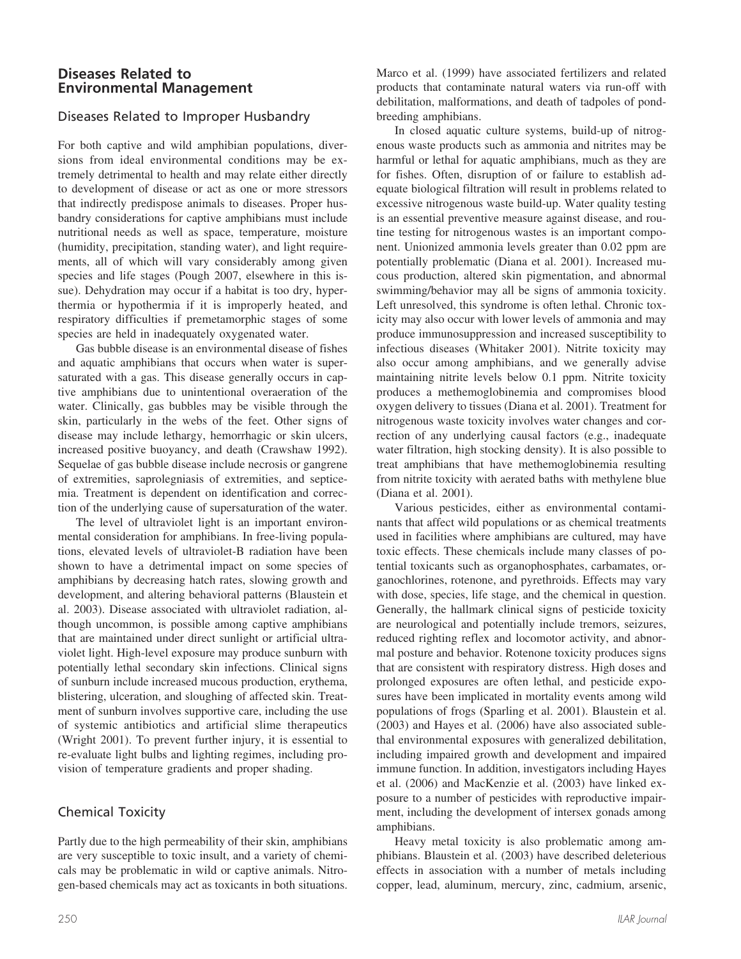## **Diseases Related to Environmental Management**

### Diseases Related to Improper Husbandry

For both captive and wild amphibian populations, diversions from ideal environmental conditions may be extremely detrimental to health and may relate either directly to development of disease or act as one or more stressors that indirectly predispose animals to diseases. Proper husbandry considerations for captive amphibians must include nutritional needs as well as space, temperature, moisture (humidity, precipitation, standing water), and light requirements, all of which will vary considerably among given species and life stages (Pough 2007, elsewhere in this issue). Dehydration may occur if a habitat is too dry, hyperthermia or hypothermia if it is improperly heated, and respiratory difficulties if premetamorphic stages of some species are held in inadequately oxygenated water.

Gas bubble disease is an environmental disease of fishes and aquatic amphibians that occurs when water is supersaturated with a gas. This disease generally occurs in captive amphibians due to unintentional overaeration of the water. Clinically, gas bubbles may be visible through the skin, particularly in the webs of the feet. Other signs of disease may include lethargy, hemorrhagic or skin ulcers, increased positive buoyancy, and death (Crawshaw 1992). Sequelae of gas bubble disease include necrosis or gangrene of extremities, saprolegniasis of extremities, and septicemia. Treatment is dependent on identification and correction of the underlying cause of supersaturation of the water.

The level of ultraviolet light is an important environmental consideration for amphibians. In free-living populations, elevated levels of ultraviolet-B radiation have been shown to have a detrimental impact on some species of amphibians by decreasing hatch rates, slowing growth and development, and altering behavioral patterns (Blaustein et al. 2003). Disease associated with ultraviolet radiation, although uncommon, is possible among captive amphibians that are maintained under direct sunlight or artificial ultraviolet light. High-level exposure may produce sunburn with potentially lethal secondary skin infections. Clinical signs of sunburn include increased mucous production, erythema, blistering, ulceration, and sloughing of affected skin. Treatment of sunburn involves supportive care, including the use of systemic antibiotics and artificial slime therapeutics (Wright 2001). To prevent further injury, it is essential to re-evaluate light bulbs and lighting regimes, including provision of temperature gradients and proper shading.

# Chemical Toxicity

Partly due to the high permeability of their skin, amphibians are very susceptible to toxic insult, and a variety of chemicals may be problematic in wild or captive animals. Nitrogen-based chemicals may act as toxicants in both situations.

Marco et al. (1999) have associated fertilizers and related products that contaminate natural waters via run-off with debilitation, malformations, and death of tadpoles of pondbreeding amphibians.

In closed aquatic culture systems, build-up of nitrogenous waste products such as ammonia and nitrites may be harmful or lethal for aquatic amphibians, much as they are for fishes. Often, disruption of or failure to establish adequate biological filtration will result in problems related to excessive nitrogenous waste build-up. Water quality testing is an essential preventive measure against disease, and routine testing for nitrogenous wastes is an important component. Unionized ammonia levels greater than 0.02 ppm are potentially problematic (Diana et al. 2001). Increased mucous production, altered skin pigmentation, and abnormal swimming/behavior may all be signs of ammonia toxicity. Left unresolved, this syndrome is often lethal. Chronic toxicity may also occur with lower levels of ammonia and may produce immunosuppression and increased susceptibility to infectious diseases (Whitaker 2001). Nitrite toxicity may also occur among amphibians, and we generally advise maintaining nitrite levels below 0.1 ppm. Nitrite toxicity produces a methemoglobinemia and compromises blood oxygen delivery to tissues (Diana et al. 2001). Treatment for nitrogenous waste toxicity involves water changes and correction of any underlying causal factors (e.g., inadequate water filtration, high stocking density). It is also possible to treat amphibians that have methemoglobinemia resulting from nitrite toxicity with aerated baths with methylene blue (Diana et al. 2001).

Various pesticides, either as environmental contaminants that affect wild populations or as chemical treatments used in facilities where amphibians are cultured, may have toxic effects. These chemicals include many classes of potential toxicants such as organophosphates, carbamates, organochlorines, rotenone, and pyrethroids. Effects may vary with dose, species, life stage, and the chemical in question. Generally, the hallmark clinical signs of pesticide toxicity are neurological and potentially include tremors, seizures, reduced righting reflex and locomotor activity, and abnormal posture and behavior. Rotenone toxicity produces signs that are consistent with respiratory distress. High doses and prolonged exposures are often lethal, and pesticide exposures have been implicated in mortality events among wild populations of frogs (Sparling et al. 2001). Blaustein et al. (2003) and Hayes et al. (2006) have also associated sublethal environmental exposures with generalized debilitation, including impaired growth and development and impaired immune function. In addition, investigators including Hayes et al. (2006) and MacKenzie et al. (2003) have linked exposure to a number of pesticides with reproductive impairment, including the development of intersex gonads among amphibians.

Heavy metal toxicity is also problematic among amphibians. Blaustein et al. (2003) have described deleterious effects in association with a number of metals including copper, lead, aluminum, mercury, zinc, cadmium, arsenic,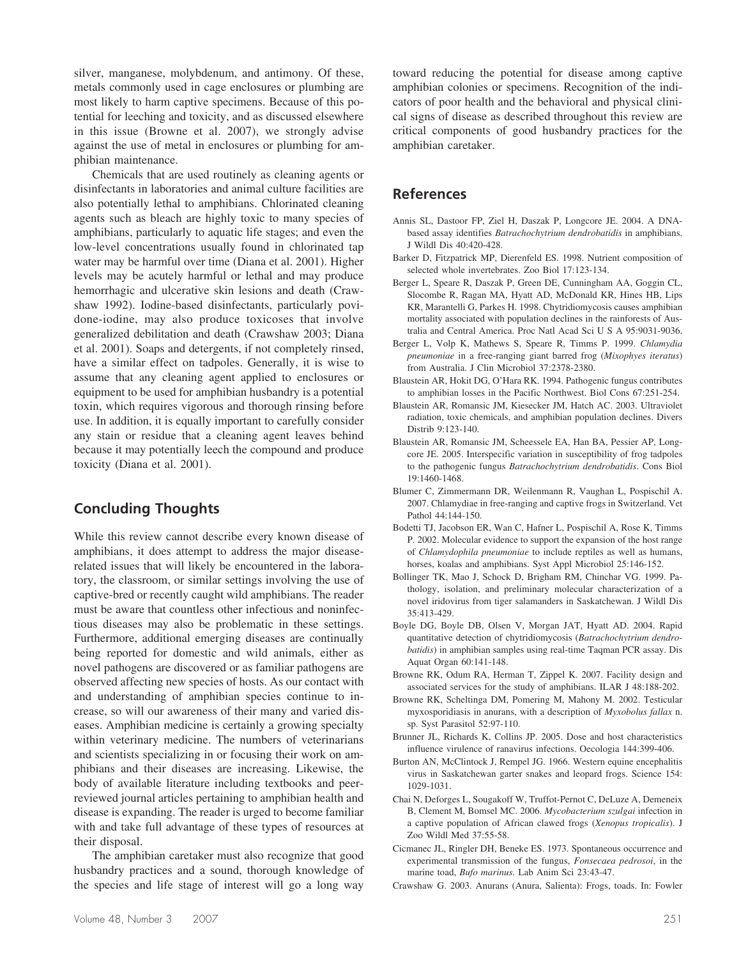silver, manganese, molybdenum, and antimony. Of these, metals commonly used in cage enclosures or plumbing are most likely to harm captive specimens. Because of this potential for leeching and toxicity, and as discussed elsewhere in this issue (Browne et al. 2007), we strongly advise against the use of metal in enclosures or plumbing for amphibian maintenance.

Chemicals that are used routinely as cleaning agents or disinfectants in laboratories and animal culture facilities are also potentially lethal to amphibians. Chlorinated cleaning agents such as bleach are highly toxic to many species of amphibians, particularly to aquatic life stages; and even the low-level concentrations usually found in chlorinated tap water may be harmful over time (Diana et al. 2001). Higher levels may be acutely harmful or lethal and may produce hemorrhagic and ulcerative skin lesions and death (Crawshaw 1992). Iodine-based disinfectants, particularly povidone-iodine, may also produce toxicoses that involve generalized debilitation and death (Crawshaw 2003; Diana et al. 2001). Soaps and detergents, if not completely rinsed, have a similar effect on tadpoles. Generally, it is wise to assume that any cleaning agent applied to enclosures or equipment to be used for amphibian husbandry is a potential toxin, which requires vigorous and thorough rinsing before use. In addition, it is equally important to carefully consider any stain or residue that a cleaning agent leaves behind because it may potentially leech the compound and produce toxicity (Diana et al. 2001).

## **Concluding Thoughts**

While this review cannot describe every known disease of amphibians, it does attempt to address the major diseaserelated issues that will likely be encountered in the laboratory, the classroom, or similar settings involving the use of captive-bred or recently caught wild amphibians. The reader must be aware that countless other infectious and noninfectious diseases may also be problematic in these settings. Furthermore, additional emerging diseases are continually being reported for domestic and wild animals, either as novel pathogens are discovered or as familiar pathogens are observed affecting new species of hosts. As our contact with and understanding of amphibian species continue to increase, so will our awareness of their many and varied diseases. Amphibian medicine is certainly a growing specialty within veterinary medicine. The numbers of veterinarians and scientists specializing in or focusing their work on amphibians and their diseases are increasing. Likewise, the body of available literature including textbooks and peerreviewed journal articles pertaining to amphibian health and disease is expanding. The reader is urged to become familiar with and take full advantage of these types of resources at their disposal.

The amphibian caretaker must also recognize that good husbandry practices and a sound, thorough knowledge of the species and life stage of interest will go a long way

toward reducing the potential for disease among captive amphibian colonies or specimens. Recognition of the indicators of poor health and the behavioral and physical clinical signs of disease as described throughout this review are critical components of good husbandry practices for the amphibian caretaker.

### **References**

- Annis SL, Dastoor FP, Ziel H, Daszak P, Longcore JE. 2004. A DNAbased assay identifies *Batrachochytrium dendrobatidis* in amphibians. J Wildl Dis 40:420-428.
- Barker D, Fitzpatrick MP, Dierenfeld ES. 1998. Nutrient composition of selected whole invertebrates. Zoo Biol 17:123-134.
- Berger L, Speare R, Daszak P, Green DE, Cunningham AA, Goggin CL, Slocombe R, Ragan MA, Hyatt AD, McDonald KR, Hines HB, Lips KR, Marantelli G, Parkes H. 1998. Chytridiomycosis causes amphibian mortality associated with population declines in the rainforests of Australia and Central America. Proc Natl Acad Sci U S A 95:9031-9036.
- Berger L, Volp K, Mathews S, Speare R, Timms P. 1999. *Chlamydia pneumoniae* in a free-ranging giant barred frog (*Mixophyes iteratus*) from Australia. J Clin Microbiol 37:2378-2380.
- Blaustein AR, Hokit DG, O'Hara RK. 1994. Pathogenic fungus contributes to amphibian losses in the Pacific Northwest. Biol Cons 67:251-254.
- Blaustein AR, Romansic JM, Kiesecker JM, Hatch AC. 2003. Ultraviolet radiation, toxic chemicals, and amphibian population declines. Divers Distrib 9:123-140.
- Blaustein AR, Romansic JM, Scheessele EA, Han BA, Pessier AP, Longcore JE. 2005. Interspecific variation in susceptibility of frog tadpoles to the pathogenic fungus *Batrachochytrium dendrobatidis*. Cons Biol 19:1460-1468.
- Blumer C, Zimmermann DR, Weilenmann R, Vaughan L, Pospischil A. 2007. Chlamydiae in free-ranging and captive frogs in Switzerland. Vet Pathol 44:144-150.
- Bodetti TJ, Jacobson ER, Wan C, Hafner L, Pospischil A, Rose K, Timms P. 2002. Molecular evidence to support the expansion of the host range of *Chlamydophila pneumoniae* to include reptiles as well as humans, horses, koalas and amphibians. Syst Appl Microbiol 25:146-152.
- Bollinger TK, Mao J, Schock D, Brigham RM, Chinchar VG. 1999. Pathology, isolation, and preliminary molecular characterization of a novel iridovirus from tiger salamanders in Saskatchewan. J Wildl Dis 35:413-429.
- Boyle DG, Boyle DB, Olsen V, Morgan JAT, Hyatt AD. 2004. Rapid quantitative detection of chytridiomycosis (*Batrachochytrium dendrobatidis*) in amphibian samples using real-time Taqman PCR assay. Dis Aquat Organ 60:141-148.
- Browne RK, Odum RA, Herman T, Zippel K. 2007. Facility design and associated services for the study of amphibians. ILAR J 48:188-202.
- Browne RK, Scheltinga DM, Pomering M, Mahony M. 2002. Testicular myxosporidiasis in anurans, with a description of *Myxobolus fallax* n. sp. Syst Parasitol 52:97-110.
- Brunner JL, Richards K, Collins JP. 2005. Dose and host characteristics influence virulence of ranavirus infections. Oecologia 144:399-406.
- Burton AN, McClintock J, Rempel JG. 1966. Western equine encephalitis virus in Saskatchewan garter snakes and leopard frogs. Science 154: 1029-1031.
- Chai N, Deforges L, Sougakoff W, Truffot-Pernot C, DeLuze A, Demeneix B, Clement M, Bomsel MC. 2006. *Mycobacterium szulgai* infection in a captive population of African clawed frogs (*Xenopus tropicalis*). J Zoo Wildl Med 37:55-58.
- Cicmanec JL, Ringler DH, Beneke ES. 1973. Spontaneous occurrence and experimental transmission of the fungus, *Fonsecaea pedrosoi*, in the marine toad, *Bufo marinus.* Lab Anim Sci 23:43-47.
- Crawshaw G. 2003. Anurans (Anura, Salienta): Frogs, toads. In: Fowler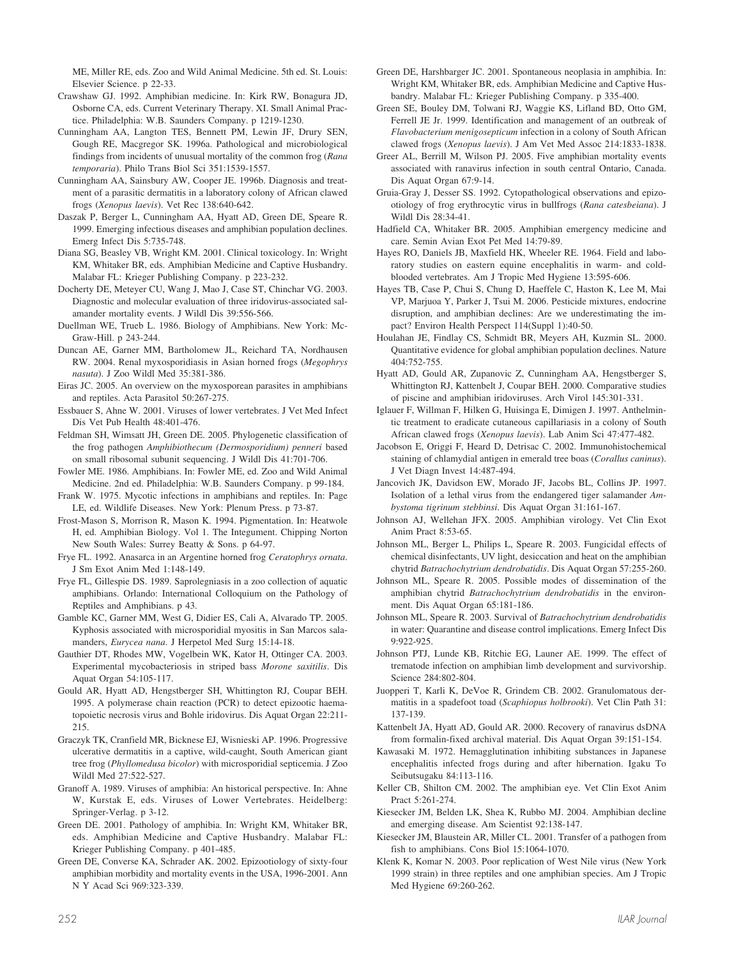ME, Miller RE, eds. Zoo and Wild Animal Medicine. 5th ed. St. Louis: Elsevier Science. p 22-33.

- Crawshaw GJ. 1992. Amphibian medicine. In: Kirk RW, Bonagura JD, Osborne CA, eds. Current Veterinary Therapy. XI. Small Animal Practice. Philadelphia: W.B. Saunders Company. p 1219-1230.
- Cunningham AA, Langton TES, Bennett PM, Lewin JF, Drury SEN, Gough RE, Macgregor SK. 1996a. Pathological and microbiological findings from incidents of unusual mortality of the common frog (*Rana temporaria*). Philo Trans Biol Sci 351:1539-1557.
- Cunningham AA, Sainsbury AW, Cooper JE. 1996b. Diagnosis and treatment of a parasitic dermatitis in a laboratory colony of African clawed frogs (*Xenopus laevis*). Vet Rec 138:640-642.
- Daszak P, Berger L, Cunningham AA, Hyatt AD, Green DE, Speare R. 1999. Emerging infectious diseases and amphibian population declines. Emerg Infect Dis 5:735-748.
- Diana SG, Beasley VB, Wright KM. 2001. Clinical toxicology. In: Wright KM, Whitaker BR, eds. Amphibian Medicine and Captive Husbandry. Malabar FL: Krieger Publishing Company. p 223-232.
- Docherty DE, Meteyer CU, Wang J, Mao J, Case ST, Chinchar VG. 2003. Diagnostic and molecular evaluation of three iridovirus-associated salamander mortality events. J Wildl Dis 39:556-566.
- Duellman WE, Trueb L. 1986. Biology of Amphibians. New York: Mc-Graw-Hill. p 243-244.
- Duncan AE, Garner MM, Bartholomew JL, Reichard TA, Nordhausen RW. 2004. Renal myxosporidiasis in Asian horned frogs (*Megophrys nasuta*). J Zoo Wildl Med 35:381-386.
- Eiras JC. 2005. An overview on the myxosporean parasites in amphibians and reptiles. Acta Parasitol 50:267-275.
- Essbauer S, Ahne W. 2001. Viruses of lower vertebrates. J Vet Med Infect Dis Vet Pub Health 48:401-476.
- Feldman SH, Wimsatt JH, Green DE. 2005. Phylogenetic classification of the frog pathogen *Amphibiothecum (Dermosporidium) penneri* based on small ribosomal subunit sequencing. J Wildl Dis 41:701-706.
- Fowler ME. 1986. Amphibians. In: Fowler ME, ed. Zoo and Wild Animal Medicine. 2nd ed. Philadelphia: W.B. Saunders Company. p 99-184.
- Frank W. 1975. Mycotic infections in amphibians and reptiles. In: Page LE, ed. Wildlife Diseases. New York: Plenum Press. p 73-87.
- Frost-Mason S, Morrison R, Mason K. 1994. Pigmentation. In: Heatwole H, ed. Amphibian Biology. Vol 1. The Integument. Chipping Norton New South Wales: Surrey Beatty & Sons. p 64-97.
- Frye FL. 1992. Anasarca in an Argentine horned frog *Ceratophrys ornata*. J Sm Exot Anim Med 1:148-149.
- Frye FL, Gillespie DS. 1989. Saprolegniasis in a zoo collection of aquatic amphibians. Orlando: International Colloquium on the Pathology of Reptiles and Amphibians. p 43.
- Gamble KC, Garner MM, West G, Didier ES, Cali A, Alvarado TP. 2005. Kyphosis associated with microsporidial myositis in San Marcos salamanders, *Eurycea nana*. J Herpetol Med Surg 15:14-18.
- Gauthier DT, Rhodes MW, Vogelbein WK, Kator H, Ottinger CA. 2003. Experimental mycobacteriosis in striped bass *Morone saxitilis*. Dis Aquat Organ 54:105-117.
- Gould AR, Hyatt AD, Hengstberger SH, Whittington RJ, Coupar BEH. 1995. A polymerase chain reaction (PCR) to detect epizootic haematopoietic necrosis virus and Bohle iridovirus. Dis Aquat Organ 22:211- 215.
- Graczyk TK, Cranfield MR, Bicknese EJ, Wisnieski AP. 1996. Progressive ulcerative dermatitis in a captive, wild-caught, South American giant tree frog (*Phyllomedusa bicolor*) with microsporidial septicemia. J Zoo Wildl Med 27:522-527.
- Granoff A. 1989. Viruses of amphibia: An historical perspective. In: Ahne W, Kurstak E, eds. Viruses of Lower Vertebrates. Heidelberg: Springer-Verlag. p 3-12.
- Green DE. 2001. Pathology of amphibia. In: Wright KM, Whitaker BR, eds. Amphibian Medicine and Captive Husbandry. Malabar FL: Krieger Publishing Company. p 401-485.
- Green DE, Converse KA, Schrader AK. 2002. Epizootiology of sixty-four amphibian morbidity and mortality events in the USA, 1996-2001. Ann N Y Acad Sci 969:323-339.
- Green DE, Harshbarger JC. 2001. Spontaneous neoplasia in amphibia. In: Wright KM, Whitaker BR, eds. Amphibian Medicine and Captive Husbandry. Malabar FL: Krieger Publishing Company. p 335-400.
- Green SE, Bouley DM, Tolwani RJ, Waggie KS, Lifland BD, Otto GM, Ferrell JE Jr. 1999. Identification and management of an outbreak of *Flavobacterium menigosepticum* infection in a colony of South African clawed frogs (*Xenopus laevis*). J Am Vet Med Assoc 214:1833-1838.
- Greer AL, Berrill M, Wilson PJ. 2005. Five amphibian mortality events associated with ranavirus infection in south central Ontario, Canada. Dis Aquat Organ 67:9-14.
- Gruia-Gray J, Desser SS. 1992. Cytopathological observations and epizootiology of frog erythrocytic virus in bullfrogs (*Rana catesbeiana*). J Wildl Dis 28:34-41.
- Hadfield CA, Whitaker BR. 2005. Amphibian emergency medicine and care. Semin Avian Exot Pet Med 14:79-89.
- Hayes RO, Daniels JB, Maxfield HK, Wheeler RE. 1964. Field and laboratory studies on eastern equine encephalitis in warm- and coldblooded vertebrates. Am J Tropic Med Hygiene 13:595-606.
- Hayes TB, Case P, Chui S, Chung D, Haeffele C, Haston K, Lee M, Mai VP, Marjuoa Y, Parker J, Tsui M. 2006. Pesticide mixtures, endocrine disruption, and amphibian declines: Are we underestimating the impact? Environ Health Perspect 114(Suppl 1):40-50.
- Houlahan JE, Findlay CS, Schmidt BR, Meyers AH, Kuzmin SL. 2000. Quantitative evidence for global amphibian population declines. Nature 404:752-755.
- Hyatt AD, Gould AR, Zupanovic Z, Cunningham AA, Hengstberger S, Whittington RJ, Kattenbelt J, Coupar BEH. 2000. Comparative studies of piscine and amphibian iridoviruses. Arch Virol 145:301-331.
- Iglauer F, Willman F, Hilken G, Huisinga E, Dimigen J. 1997. Anthelmintic treatment to eradicate cutaneous capillariasis in a colony of South African clawed frogs (*Xenopus laevis*). Lab Anim Sci 47:477-482.
- Jacobson E, Origgi F, Heard D, Detrisac C. 2002. Immunohistochemical staining of chlamydial antigen in emerald tree boas (*Corallus caninus*). J Vet Diagn Invest 14:487-494.
- Jancovich JK, Davidson EW, Morado JF, Jacobs BL, Collins JP. 1997. Isolation of a lethal virus from the endangered tiger salamander *Ambystoma tigrinum stebbinsi*. Dis Aquat Organ 31:161-167.
- Johnson AJ, Wellehan JFX. 2005. Amphibian virology. Vet Clin Exot Anim Pract 8:53-65.
- Johnson ML, Berger L, Philips L, Speare R. 2003. Fungicidal effects of chemical disinfectants, UV light, desiccation and heat on the amphibian chytrid *Batrachochytrium dendrobatidis*. Dis Aquat Organ 57:255-260.
- Johnson ML, Speare R. 2005. Possible modes of dissemination of the amphibian chytrid *Batrachochytrium dendrobatidis* in the environment. Dis Aquat Organ 65:181-186.
- Johnson ML, Speare R. 2003. Survival of *Batrachochytrium dendrobatidis* in water: Quarantine and disease control implications. Emerg Infect Dis 9:922-925.
- Johnson PTJ, Lunde KB, Ritchie EG, Launer AE. 1999. The effect of trematode infection on amphibian limb development and survivorship. Science 284:802-804.
- Juopperi T, Karli K, DeVoe R, Grindem CB. 2002. Granulomatous dermatitis in a spadefoot toad (*Scaphiopus holbrooki*). Vet Clin Path 31: 137-139.
- Kattenbelt JA, Hyatt AD, Gould AR. 2000. Recovery of ranavirus dsDNA from formalin-fixed archival material. Dis Aquat Organ 39:151-154.
- Kawasaki M. 1972. Hemagglutination inhibiting substances in Japanese encephalitis infected frogs during and after hibernation. Igaku To Seibutsugaku 84:113-116.
- Keller CB, Shilton CM. 2002. The amphibian eye. Vet Clin Exot Anim Pract 5:261-274.
- Kiesecker JM, Belden LK, Shea K, Rubbo MJ. 2004. Amphibian decline and emerging disease. Am Scientist 92:138-147.
- Kiesecker JM, Blaustein AR, Miller CL. 2001. Transfer of a pathogen from fish to amphibians. Cons Biol 15:1064-1070.
- Klenk K, Komar N. 2003. Poor replication of West Nile virus (New York 1999 strain) in three reptiles and one amphibian species. Am J Tropic Med Hygiene 69:260-262.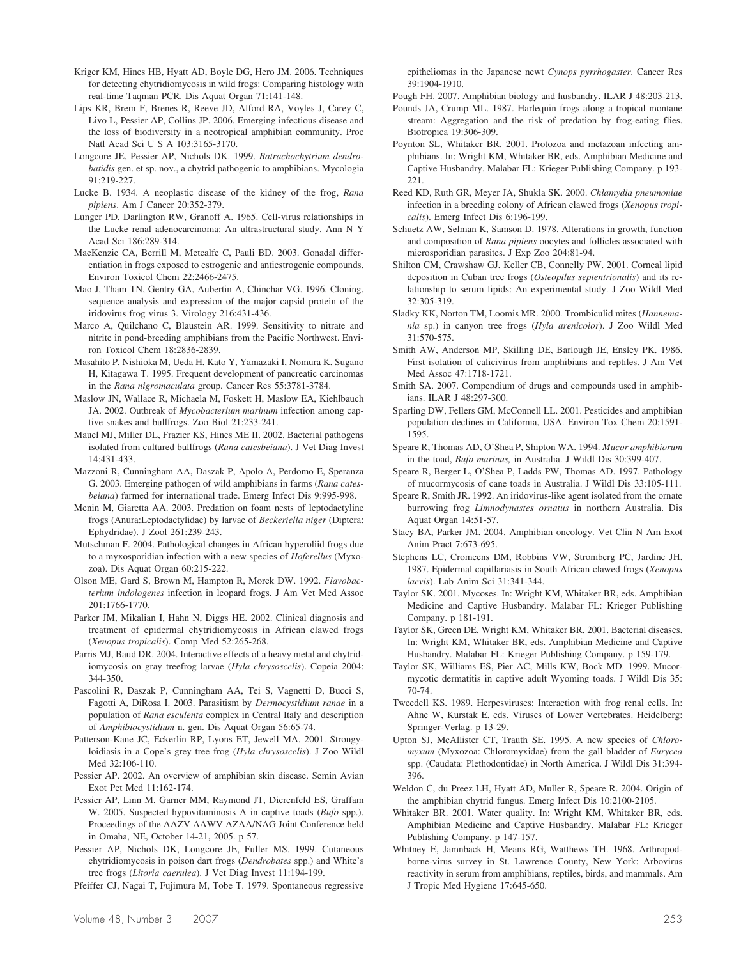Kriger KM, Hines HB, Hyatt AD, Boyle DG, Hero JM. 2006. Techniques for detecting chytridiomycosis in wild frogs: Comparing histology with real-time Taqman PCR. Dis Aquat Organ 71:141-148.

Lips KR, Brem F, Brenes R, Reeve JD, Alford RA, Voyles J, Carey C, Livo L, Pessier AP, Collins JP. 2006. Emerging infectious disease and the loss of biodiversity in a neotropical amphibian community. Proc Natl Acad Sci U S A 103:3165-3170.

Longcore JE, Pessier AP, Nichols DK. 1999. *Batrachochytrium dendrobatidis* gen. et sp. nov., a chytrid pathogenic to amphibians. Mycologia 91:219-227.

Lucke B. 1934. A neoplastic disease of the kidney of the frog, *Rana pipiens*. Am J Cancer 20:352-379.

Lunger PD, Darlington RW, Granoff A. 1965. Cell-virus relationships in the Lucke renal adenocarcinoma: An ultrastructural study. Ann N Y Acad Sci 186:289-314.

MacKenzie CA, Berrill M, Metcalfe C, Pauli BD. 2003. Gonadal differentiation in frogs exposed to estrogenic and antiestrogenic compounds. Environ Toxicol Chem 22:2466-2475.

Mao J, Tham TN, Gentry GA, Aubertin A, Chinchar VG. 1996. Cloning, sequence analysis and expression of the major capsid protein of the iridovirus frog virus 3. Virology 216:431-436.

Marco A, Quilchano C, Blaustein AR. 1999. Sensitivity to nitrate and nitrite in pond-breeding amphibians from the Pacific Northwest. Environ Toxicol Chem 18:2836-2839.

Masahito P, Nishioka M, Ueda H, Kato Y, Yamazaki I, Nomura K, Sugano H, Kitagawa T. 1995. Frequent development of pancreatic carcinomas in the *Rana nigromaculata* group. Cancer Res 55:3781-3784.

Maslow JN, Wallace R, Michaela M, Foskett H, Maslow EA, Kiehlbauch JA. 2002. Outbreak of *Mycobacterium marinum* infection among captive snakes and bullfrogs. Zoo Biol 21:233-241.

Mauel MJ, Miller DL, Frazier KS, Hines ME II. 2002. Bacterial pathogens isolated from cultured bullfrogs (*Rana catesbeiana*). J Vet Diag Invest 14:431-433.

Mazzoni R, Cunningham AA, Daszak P, Apolo A, Perdomo E, Speranza G. 2003. Emerging pathogen of wild amphibians in farms (*Rana catesbeiana*) farmed for international trade. Emerg Infect Dis 9:995-998.

Menin M, Giaretta AA. 2003. Predation on foam nests of leptodactyline frogs (Anura:Leptodactylidae) by larvae of *Beckeriella niger* (Diptera: Ephydridae). J Zool 261:239-243.

Mutschman F. 2004. Pathological changes in African hyperoliid frogs due to a myxosporidian infection with a new species of *Hoferellus* (Myxozoa). Dis Aquat Organ 60:215-222.

Olson ME, Gard S, Brown M, Hampton R, Morck DW. 1992. *Flavobacterium indologenes* infection in leopard frogs. J Am Vet Med Assoc 201:1766-1770.

Parker JM, Mikalian I, Hahn N, Diggs HE. 2002. Clinical diagnosis and treatment of epidermal chytridiomycosis in African clawed frogs (*Xenopus tropicalis*). Comp Med 52:265-268.

Parris MJ, Baud DR. 2004. Interactive effects of a heavy metal and chytridiomycosis on gray treefrog larvae (*Hyla chrysoscelis*). Copeia 2004: 344-350.

Pascolini R, Daszak P, Cunningham AA, Tei S, Vagnetti D, Bucci S, Fagotti A, DiRosa I. 2003. Parasitism by *Dermocystidium ranae* in a population of *Rana esculenta* complex in Central Italy and description of *Amphibiocystidium* n. gen. Dis Aquat Organ 56:65-74.

Patterson-Kane JC, Eckerlin RP, Lyons ET, Jewell MA. 2001. Strongyloidiasis in a Cope's grey tree frog (*Hyla chrysoscelis*). J Zoo Wildl Med 32:106-110.

Pessier AP. 2002. An overview of amphibian skin disease. Semin Avian Exot Pet Med 11:162-174.

Pessier AP, Linn M, Garner MM, Raymond JT, Dierenfeld ES, Graffam W. 2005. Suspected hypovitaminosis A in captive toads (*Bufo* spp.). Proceedings of the AAZV AAWV AZAA/NAG Joint Conference held in Omaha, NE, October 14-21, 2005. p 57.

Pessier AP, Nichols DK, Longcore JE, Fuller MS. 1999. Cutaneous chytridiomycosis in poison dart frogs (*Dendrobates* spp.) and White's tree frogs (*Litoria caerulea*). J Vet Diag Invest 11:194-199.

Pfeiffer CJ, Nagai T, Fujimura M, Tobe T. 1979. Spontaneous regressive

epitheliomas in the Japanese newt *Cynops pyrrhogaster*. Cancer Res 39:1904-1910.

Pough FH. 2007. Amphibian biology and husbandry. ILAR J 48:203-213.

Pounds JA, Crump ML. 1987. Harlequin frogs along a tropical montane stream: Aggregation and the risk of predation by frog-eating flies. Biotropica 19:306-309.

Poynton SL, Whitaker BR. 2001. Protozoa and metazoan infecting amphibians. In: Wright KM, Whitaker BR, eds. Amphibian Medicine and Captive Husbandry. Malabar FL: Krieger Publishing Company. p 193- 221.

Reed KD, Ruth GR, Meyer JA, Shukla SK. 2000. *Chlamydia pneumoniae* infection in a breeding colony of African clawed frogs (*Xenopus tropicalis*). Emerg Infect Dis 6:196-199.

Schuetz AW, Selman K, Samson D. 1978. Alterations in growth, function and composition of *Rana pipiens* oocytes and follicles associated with microsporidian parasites. J Exp Zoo 204:81-94.

Shilton CM, Crawshaw GJ, Keller CB, Connelly PW. 2001. Corneal lipid deposition in Cuban tree frogs (*Osteopilus septentrionalis*) and its relationship to serum lipids: An experimental study. J Zoo Wildl Med 32:305-319.

Sladky KK, Norton TM, Loomis MR. 2000. Trombiculid mites (*Hannemania* sp.) in canyon tree frogs (*Hyla arenicolor*). J Zoo Wildl Med 31:570-575.

Smith AW, Anderson MP, Skilling DE, Barlough JE, Ensley PK. 1986. First isolation of calicivirus from amphibians and reptiles. J Am Vet Med Assoc 47:1718-1721.

Smith SA. 2007. Compendium of drugs and compounds used in amphibians. ILAR J 48:297-300.

Sparling DW, Fellers GM, McConnell LL. 2001. Pesticides and amphibian population declines in California, USA. Environ Tox Chem 20:1591- 1595.

Speare R, Thomas AD, O'Shea P, Shipton WA. 1994. *Mucor amphibiorum* in the toad, *Bufo marinus,* in Australia. J Wildl Dis 30:399-407.

Speare R, Berger L, O'Shea P, Ladds PW, Thomas AD. 1997. Pathology of mucormycosis of cane toads in Australia. J Wildl Dis 33:105-111.

Speare R, Smith JR. 1992. An iridovirus-like agent isolated from the ornate burrowing frog *Limnodynastes ornatus* in northern Australia. Dis Aquat Organ 14:51-57.

Stacy BA, Parker JM. 2004. Amphibian oncology. Vet Clin N Am Exot Anim Pract 7:673-695.

Stephens LC, Cromeens DM, Robbins VW, Stromberg PC, Jardine JH. 1987. Epidermal capillariasis in South African clawed frogs (*Xenopus laevis*). Lab Anim Sci 31:341-344.

Taylor SK. 2001. Mycoses. In: Wright KM, Whitaker BR, eds. Amphibian Medicine and Captive Husbandry. Malabar FL: Krieger Publishing Company. p 181-191.

Taylor SK, Green DE, Wright KM, Whitaker BR. 2001. Bacterial diseases. In: Wright KM, Whitaker BR, eds. Amphibian Medicine and Captive Husbandry. Malabar FL: Krieger Publishing Company. p 159-179.

Taylor SK, Williams ES, Pier AC, Mills KW, Bock MD. 1999. Mucormycotic dermatitis in captive adult Wyoming toads. J Wildl Dis 35: 70-74.

Tweedell KS. 1989. Herpesviruses: Interaction with frog renal cells. In: Ahne W, Kurstak E, eds. Viruses of Lower Vertebrates. Heidelberg: Springer-Verlag. p 13-29.

Upton SJ, McAllister CT, Trauth SE. 1995. A new species of *Chloromyxum* (Myxozoa: Chloromyxidae) from the gall bladder of *Eurycea* spp. (Caudata: Plethodontidae) in North America. J Wildl Dis 31:394- 396.

Weldon C, du Preez LH, Hyatt AD, Muller R, Speare R. 2004. Origin of the amphibian chytrid fungus. Emerg Infect Dis 10:2100-2105.

Whitaker BR. 2001. Water quality. In: Wright KM, Whitaker BR, eds. Amphibian Medicine and Captive Husbandry. Malabar FL: Krieger Publishing Company. p 147-157.

Whitney E, Jamnback H, Means RG, Watthews TH. 1968. Arthropodborne-virus survey in St. Lawrence County, New York: Arbovirus reactivity in serum from amphibians, reptiles, birds, and mammals. Am J Tropic Med Hygiene 17:645-650.